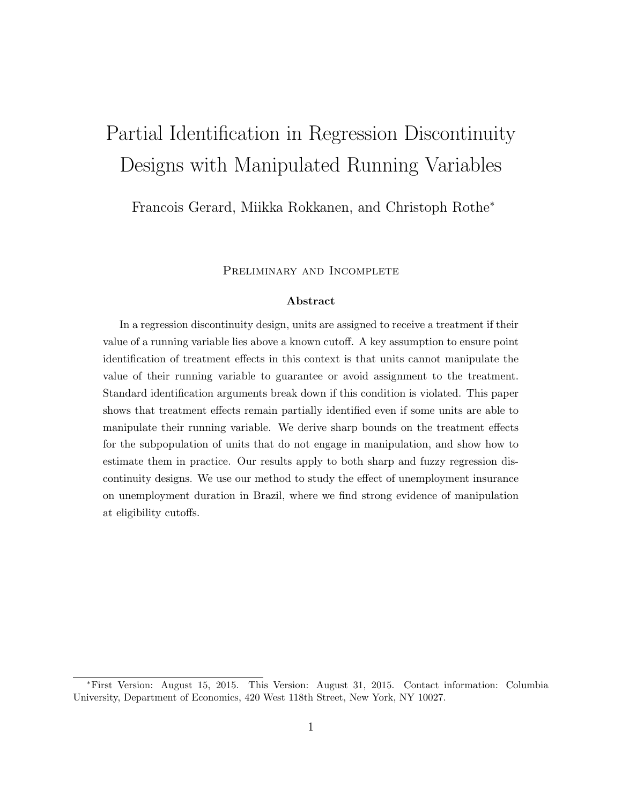# Partial Identification in Regression Discontinuity Designs with Manipulated Running Variables

Francois Gerard, Miikka Rokkanen, and Christoph Rothe<sup>∗</sup>

PRELIMINARY AND INCOMPLETE

# Abstract

In a regression discontinuity design, units are assigned to receive a treatment if their value of a running variable lies above a known cutoff. A key assumption to ensure point identification of treatment effects in this context is that units cannot manipulate the value of their running variable to guarantee or avoid assignment to the treatment. Standard identification arguments break down if this condition is violated. This paper shows that treatment effects remain partially identified even if some units are able to manipulate their running variable. We derive sharp bounds on the treatment effects for the subpopulation of units that do not engage in manipulation, and show how to estimate them in practice. Our results apply to both sharp and fuzzy regression discontinuity designs. We use our method to study the effect of unemployment insurance on unemployment duration in Brazil, where we find strong evidence of manipulation at eligibility cutoffs.

<sup>∗</sup>First Version: August 15, 2015. This Version: August 31, 2015. Contact information: Columbia University, Department of Economics, 420 West 118th Street, New York, NY 10027.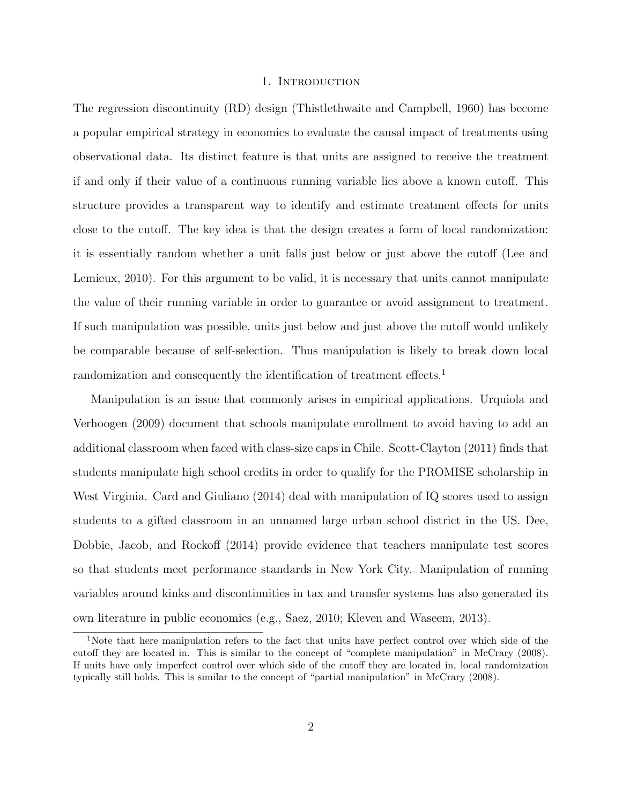#### 1. Introduction

The regression discontinuity (RD) design (Thistlethwaite and Campbell, 1960) has become a popular empirical strategy in economics to evaluate the causal impact of treatments using observational data. Its distinct feature is that units are assigned to receive the treatment if and only if their value of a continuous running variable lies above a known cutoff. This structure provides a transparent way to identify and estimate treatment effects for units close to the cutoff. The key idea is that the design creates a form of local randomization: it is essentially random whether a unit falls just below or just above the cutoff (Lee and Lemieux, 2010). For this argument to be valid, it is necessary that units cannot manipulate the value of their running variable in order to guarantee or avoid assignment to treatment. If such manipulation was possible, units just below and just above the cutoff would unlikely be comparable because of self-selection. Thus manipulation is likely to break down local randomization and consequently the identification of treatment effects.<sup>1</sup>

Manipulation is an issue that commonly arises in empirical applications. Urquiola and Verhoogen (2009) document that schools manipulate enrollment to avoid having to add an additional classroom when faced with class-size caps in Chile. Scott-Clayton (2011) finds that students manipulate high school credits in order to qualify for the PROMISE scholarship in West Virginia. Card and Giuliano (2014) deal with manipulation of IQ scores used to assign students to a gifted classroom in an unnamed large urban school district in the US. Dee, Dobbie, Jacob, and Rockoff (2014) provide evidence that teachers manipulate test scores so that students meet performance standards in New York City. Manipulation of running variables around kinks and discontinuities in tax and transfer systems has also generated its own literature in public economics (e.g., Saez, 2010; Kleven and Waseem, 2013).

<sup>1</sup>Note that here manipulation refers to the fact that units have perfect control over which side of the cutoff they are located in. This is similar to the concept of "complete manipulation" in McCrary (2008). If units have only imperfect control over which side of the cutoff they are located in, local randomization typically still holds. This is similar to the concept of "partial manipulation" in McCrary (2008).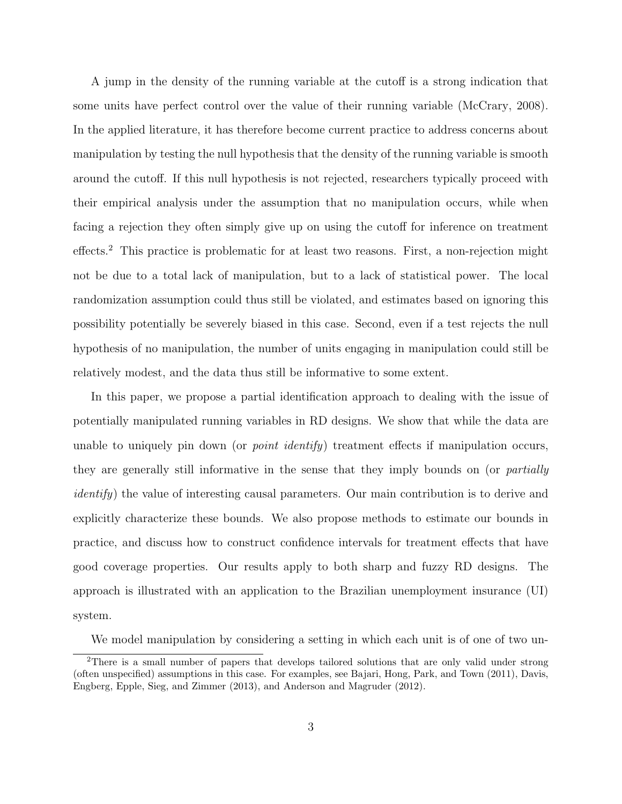A jump in the density of the running variable at the cutoff is a strong indication that some units have perfect control over the value of their running variable (McCrary, 2008). In the applied literature, it has therefore become current practice to address concerns about manipulation by testing the null hypothesis that the density of the running variable is smooth around the cutoff. If this null hypothesis is not rejected, researchers typically proceed with their empirical analysis under the assumption that no manipulation occurs, while when facing a rejection they often simply give up on using the cutoff for inference on treatment effects.<sup>2</sup> This practice is problematic for at least two reasons. First, a non-rejection might not be due to a total lack of manipulation, but to a lack of statistical power. The local randomization assumption could thus still be violated, and estimates based on ignoring this possibility potentially be severely biased in this case. Second, even if a test rejects the null hypothesis of no manipulation, the number of units engaging in manipulation could still be relatively modest, and the data thus still be informative to some extent.

In this paper, we propose a partial identification approach to dealing with the issue of potentially manipulated running variables in RD designs. We show that while the data are unable to uniquely pin down (or *point identify*) treatment effects if manipulation occurs, they are generally still informative in the sense that they imply bounds on (or *partially* identify) the value of interesting causal parameters. Our main contribution is to derive and explicitly characterize these bounds. We also propose methods to estimate our bounds in practice, and discuss how to construct confidence intervals for treatment effects that have good coverage properties. Our results apply to both sharp and fuzzy RD designs. The approach is illustrated with an application to the Brazilian unemployment insurance (UI) system.

We model manipulation by considering a setting in which each unit is of one of two un-

<sup>2</sup>There is a small number of papers that develops tailored solutions that are only valid under strong (often unspecified) assumptions in this case. For examples, see Bajari, Hong, Park, and Town (2011), Davis, Engberg, Epple, Sieg, and Zimmer (2013), and Anderson and Magruder (2012).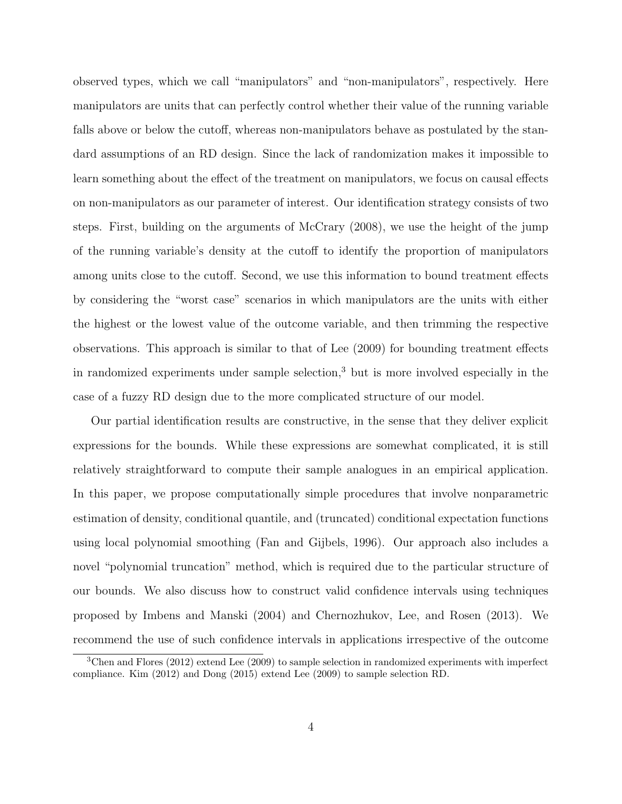observed types, which we call "manipulators" and "non-manipulators", respectively. Here manipulators are units that can perfectly control whether their value of the running variable falls above or below the cutoff, whereas non-manipulators behave as postulated by the standard assumptions of an RD design. Since the lack of randomization makes it impossible to learn something about the effect of the treatment on manipulators, we focus on causal effects on non-manipulators as our parameter of interest. Our identification strategy consists of two steps. First, building on the arguments of McCrary (2008), we use the height of the jump of the running variable's density at the cutoff to identify the proportion of manipulators among units close to the cutoff. Second, we use this information to bound treatment effects by considering the "worst case" scenarios in which manipulators are the units with either the highest or the lowest value of the outcome variable, and then trimming the respective observations. This approach is similar to that of Lee (2009) for bounding treatment effects in randomized experiments under sample selection,<sup>3</sup> but is more involved especially in the case of a fuzzy RD design due to the more complicated structure of our model.

Our partial identification results are constructive, in the sense that they deliver explicit expressions for the bounds. While these expressions are somewhat complicated, it is still relatively straightforward to compute their sample analogues in an empirical application. In this paper, we propose computationally simple procedures that involve nonparametric estimation of density, conditional quantile, and (truncated) conditional expectation functions using local polynomial smoothing (Fan and Gijbels, 1996). Our approach also includes a novel "polynomial truncation" method, which is required due to the particular structure of our bounds. We also discuss how to construct valid confidence intervals using techniques proposed by Imbens and Manski (2004) and Chernozhukov, Lee, and Rosen (2013). We recommend the use of such confidence intervals in applications irrespective of the outcome

<sup>3</sup>Chen and Flores (2012) extend Lee (2009) to sample selection in randomized experiments with imperfect compliance. Kim (2012) and Dong (2015) extend Lee (2009) to sample selection RD.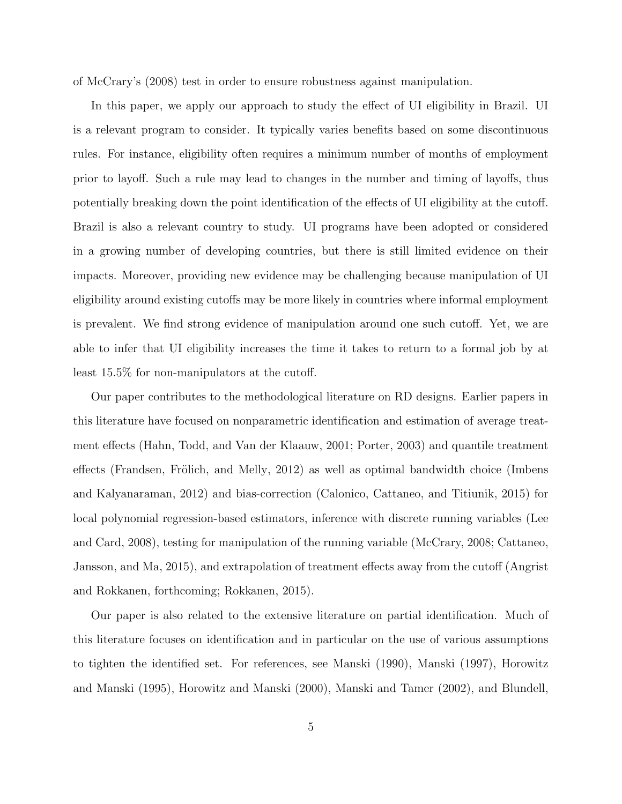of McCrary's (2008) test in order to ensure robustness against manipulation.

In this paper, we apply our approach to study the effect of UI eligibility in Brazil. UI is a relevant program to consider. It typically varies benefits based on some discontinuous rules. For instance, eligibility often requires a minimum number of months of employment prior to layoff. Such a rule may lead to changes in the number and timing of layoffs, thus potentially breaking down the point identification of the effects of UI eligibility at the cutoff. Brazil is also a relevant country to study. UI programs have been adopted or considered in a growing number of developing countries, but there is still limited evidence on their impacts. Moreover, providing new evidence may be challenging because manipulation of UI eligibility around existing cutoffs may be more likely in countries where informal employment is prevalent. We find strong evidence of manipulation around one such cutoff. Yet, we are able to infer that UI eligibility increases the time it takes to return to a formal job by at least 15.5% for non-manipulators at the cutoff.

Our paper contributes to the methodological literature on RD designs. Earlier papers in this literature have focused on nonparametric identification and estimation of average treatment effects (Hahn, Todd, and Van der Klaauw, 2001; Porter, 2003) and quantile treatment effects (Frandsen, Frölich, and Melly, 2012) as well as optimal bandwidth choice (Imbens and Kalyanaraman, 2012) and bias-correction (Calonico, Cattaneo, and Titiunik, 2015) for local polynomial regression-based estimators, inference with discrete running variables (Lee and Card, 2008), testing for manipulation of the running variable (McCrary, 2008; Cattaneo, Jansson, and Ma, 2015), and extrapolation of treatment effects away from the cutoff (Angrist and Rokkanen, forthcoming; Rokkanen, 2015).

Our paper is also related to the extensive literature on partial identification. Much of this literature focuses on identification and in particular on the use of various assumptions to tighten the identified set. For references, see Manski (1990), Manski (1997), Horowitz and Manski (1995), Horowitz and Manski (2000), Manski and Tamer (2002), and Blundell,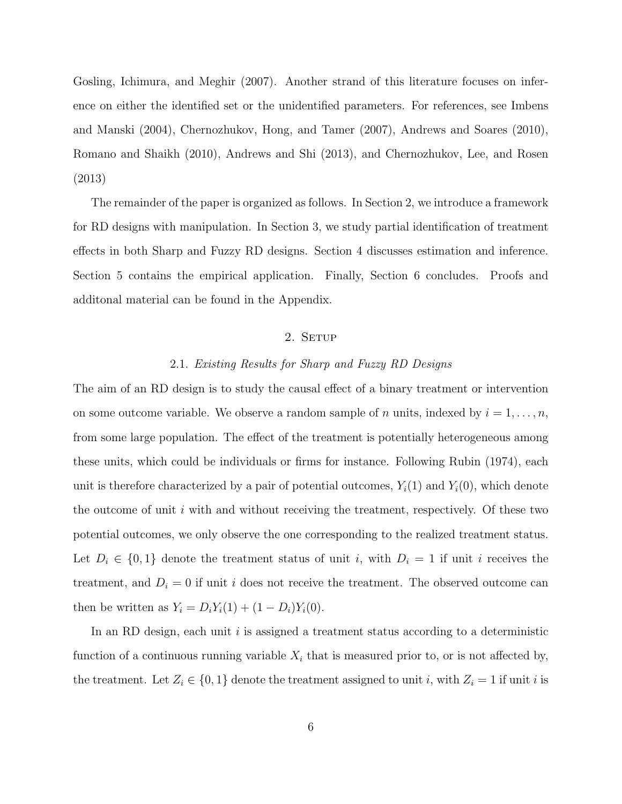Gosling, Ichimura, and Meghir (2007). Another strand of this literature focuses on inference on either the identified set or the unidentified parameters. For references, see Imbens and Manski (2004), Chernozhukov, Hong, and Tamer (2007), Andrews and Soares (2010), Romano and Shaikh (2010), Andrews and Shi (2013), and Chernozhukov, Lee, and Rosen (2013)

The remainder of the paper is organized as follows. In Section 2, we introduce a framework for RD designs with manipulation. In Section 3, we study partial identification of treatment effects in both Sharp and Fuzzy RD designs. Section 4 discusses estimation and inference. Section 5 contains the empirical application. Finally, Section 6 concludes. Proofs and additonal material can be found in the Appendix.

# 2. SETUP

#### 2.1. Existing Results for Sharp and Fuzzy RD Designs

The aim of an RD design is to study the causal effect of a binary treatment or intervention on some outcome variable. We observe a random sample of n units, indexed by  $i = 1, \ldots, n$ , from some large population. The effect of the treatment is potentially heterogeneous among these units, which could be individuals or firms for instance. Following Rubin (1974), each unit is therefore characterized by a pair of potential outcomes,  $Y_i(1)$  and  $Y_i(0)$ , which denote the outcome of unit  $i$  with and without receiving the treatment, respectively. Of these two potential outcomes, we only observe the one corresponding to the realized treatment status. Let  $D_i \in \{0,1\}$  denote the treatment status of unit i, with  $D_i = 1$  if unit i receives the treatment, and  $D_i = 0$  if unit i does not receive the treatment. The observed outcome can then be written as  $Y_i = D_i Y_i(1) + (1 - D_i) Y_i(0)$ .

In an RD design, each unit  $i$  is assigned a treatment status according to a deterministic function of a continuous running variable  $X_i$  that is measured prior to, or is not affected by, the treatment. Let  $Z_i \in \{0,1\}$  denote the treatment assigned to unit i, with  $Z_i = 1$  if unit i is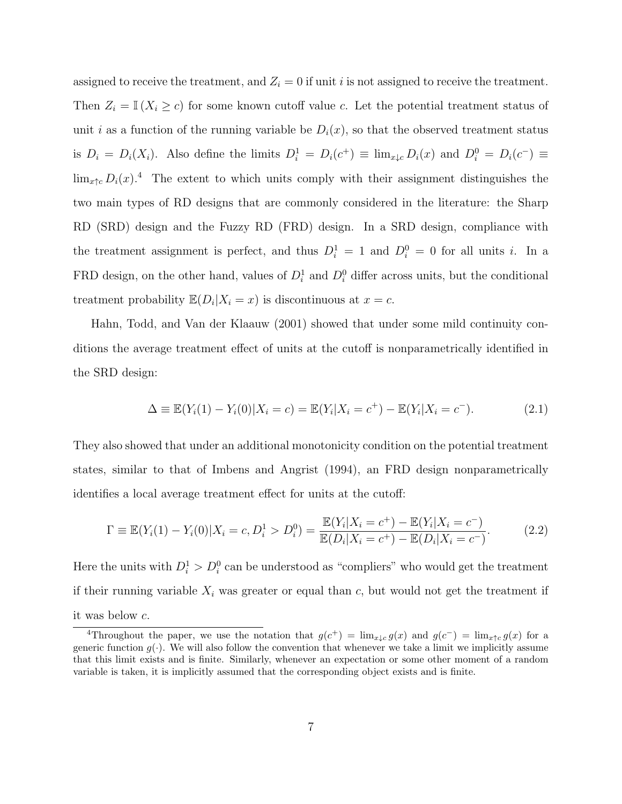assigned to receive the treatment, and  $Z_i = 0$  if unit i is not assigned to receive the treatment. Then  $Z_i = \mathbb{I}(X_i \geq c)$  for some known cutoff value c. Let the potential treatment status of unit i as a function of the running variable be  $D_i(x)$ , so that the observed treatment status is  $D_i = D_i(X_i)$ . Also define the limits  $D_i^1 = D_i(c^+) \equiv \lim_{x \downarrow c} D_i(x)$  and  $D_i^0 = D_i(c^-) \equiv$  $\lim_{x \uparrow c} D_i(x)$ .<sup>4</sup> The extent to which units comply with their assignment distinguishes the two main types of RD designs that are commonly considered in the literature: the Sharp RD (SRD) design and the Fuzzy RD (FRD) design. In a SRD design, compliance with the treatment assignment is perfect, and thus  $D_i^1 = 1$  and  $D_i^0 = 0$  for all units i. In a FRD design, on the other hand, values of  $D_i^1$  and  $D_i^0$  differ across units, but the conditional treatment probability  $\mathbb{E}(D_i|X_i=x)$  is discontinuous at  $x=c$ .

Hahn, Todd, and Van der Klaauw (2001) showed that under some mild continuity conditions the average treatment effect of units at the cutoff is nonparametrically identified in the SRD design:

$$
\Delta \equiv \mathbb{E}(Y_i(1) - Y_i(0)|X_i = c) = \mathbb{E}(Y_i|X_i = c^+) - \mathbb{E}(Y_i|X_i = c^-). \tag{2.1}
$$

They also showed that under an additional monotonicity condition on the potential treatment states, similar to that of Imbens and Angrist (1994), an FRD design nonparametrically identifies a local average treatment effect for units at the cutoff:

$$
\Gamma \equiv \mathbb{E}(Y_i(1) - Y_i(0)|X_i = c, D_i^1 > D_i^0) = \frac{\mathbb{E}(Y_i|X_i = c^+) - \mathbb{E}(Y_i|X_i = c^-)}{\mathbb{E}(D_i|X_i = c^+) - \mathbb{E}(D_i|X_i = c^-)}.
$$
\n(2.2)

Here the units with  $D_i^1 > D_i^0$  can be understood as "compliers" who would get the treatment if their running variable  $X_i$  was greater or equal than c, but would not get the treatment if it was below c.

<sup>&</sup>lt;sup>4</sup>Throughout the paper, we use the notation that  $g(c^+) = \lim_{x \downarrow c} g(x)$  and  $g(c^-) = \lim_{x \uparrow c} g(x)$  for a generic function  $g(.)$ . We will also follow the convention that whenever we take a limit we implicitly assume that this limit exists and is finite. Similarly, whenever an expectation or some other moment of a random variable is taken, it is implicitly assumed that the corresponding object exists and is finite.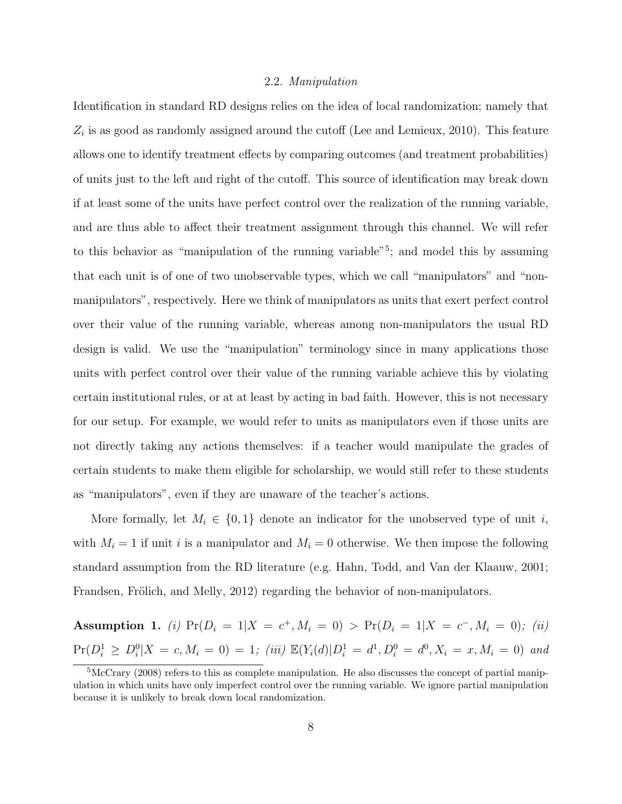#### 2.2. Manipulation

Identification in standard RD designs relies on the idea of local randomization; namely that  $Z_i$  is as good as randomly assigned around the cutoff (Lee and Lemieux, 2010). This feature allows one to identify treatment effects by comparing outcomes (and treatment probabilities) of units just to the left and right of the cutoff. This source of identification may break down if at least some of the units have perfect control over the realization of the running variable, and are thus able to affect their treatment assignment through this channel. We will refer to this behavior as "manipulation of the running variable"<sup>5</sup>; and model this by assuming that each unit is of one of two unobservable types, which we call "manipulators" and "nonmanipulators", respectively. Here we think of manipulators as units that exert perfect control over their value of the running variable, whereas among non-manipulators the usual RD design is valid. We use the "manipulation" terminology since in many applications those units with perfect control over their value of the running variable achieve this by violating certain institutional rules, or at at least by acting in bad faith. However, this is not necessary for our setup. For example, we would refer to units as manipulators even if those units are not directly taking any actions themselves: if a teacher would manipulate the grades of certain students to make them eligible for scholarship, we would still refer to these students as "manipulators", even if they are unaware of the teacher's actions.

More formally, let  $M_i \in \{0,1\}$  denote an indicator for the unobserved type of unit i, with  $M_i = 1$  if unit i is a manipulator and  $M_i = 0$  otherwise. We then impose the following standard assumption from the RD literature (e.g. Hahn, Todd, and Van der Klaauw, 2001; Frandsen, Frölich, and Melly, 2012) regarding the behavior of non-manipulators.

Assumption 1. (i)  $Pr(D_i = 1 | X = c^+, M_i = 0) > Pr(D_i = 1 | X = c^-, M_i = 0)$ ; (ii)  $Pr(D_i^1 \geq D_i^0 | X = c, M_i = 0) = 1$ ; (iii)  $\mathbb{E}(Y_i(d)|D_i^1 = d^1, D_i^0 = d^0, X_i = x, M_i = 0)$  and

 ${}^{5}\text{McC}$ rary (2008) refers to this as complete manipulation. He also discusses the concept of partial manipulation in which units have only imperfect control over the running variable. We ignore partial manipulation because it is unlikely to break down local randomization.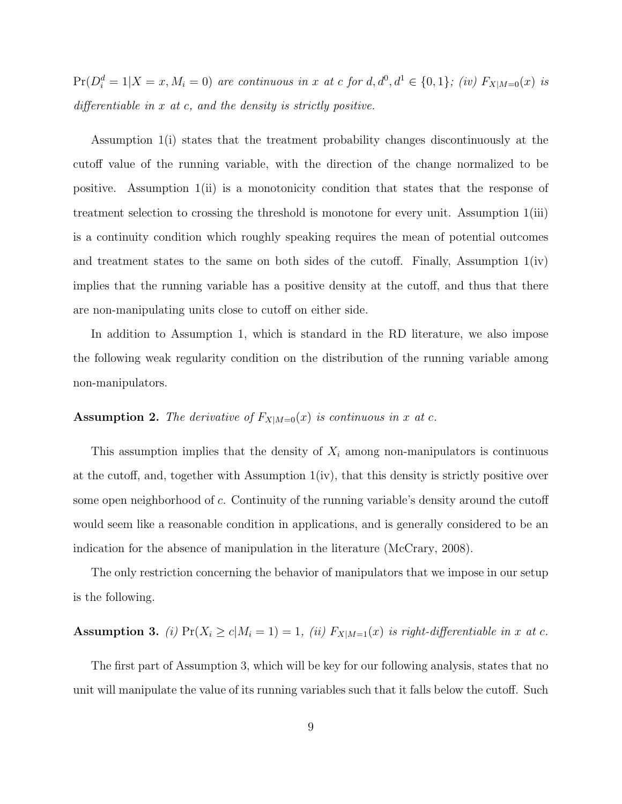$Pr(D_i^d = 1 | X = x, M_i = 0)$  are continuous in x at c for  $d, d^0, d^1 \in \{0, 1\}$ ; (iv)  $F_{X|M=0}(x)$  is differentiable in  $x$  at  $c$ , and the density is strictly positive.

Assumption 1(i) states that the treatment probability changes discontinuously at the cutoff value of the running variable, with the direction of the change normalized to be positive. Assumption 1(ii) is a monotonicity condition that states that the response of treatment selection to crossing the threshold is monotone for every unit. Assumption 1(iii) is a continuity condition which roughly speaking requires the mean of potential outcomes and treatment states to the same on both sides of the cutoff. Finally, Assumption 1(iv) implies that the running variable has a positive density at the cutoff, and thus that there are non-manipulating units close to cutoff on either side.

In addition to Assumption 1, which is standard in the RD literature, we also impose the following weak regularity condition on the distribution of the running variable among non-manipulators.

# **Assumption 2.** The derivative of  $F_{X|M=0}(x)$  is continuous in x at c.

This assumption implies that the density of  $X_i$  among non-manipulators is continuous at the cutoff, and, together with Assumption 1(iv), that this density is strictly positive over some open neighborhood of c. Continuity of the running variable's density around the cutoff would seem like a reasonable condition in applications, and is generally considered to be an indication for the absence of manipulation in the literature (McCrary, 2008).

The only restriction concerning the behavior of manipulators that we impose in our setup is the following.

# Assumption 3. (i)  $Pr(X_i \ge c | M_i = 1) = 1$ , (ii)  $F_{X|M=1}(x)$  is right-differentiable in x at c.

The first part of Assumption 3, which will be key for our following analysis, states that no unit will manipulate the value of its running variables such that it falls below the cutoff. Such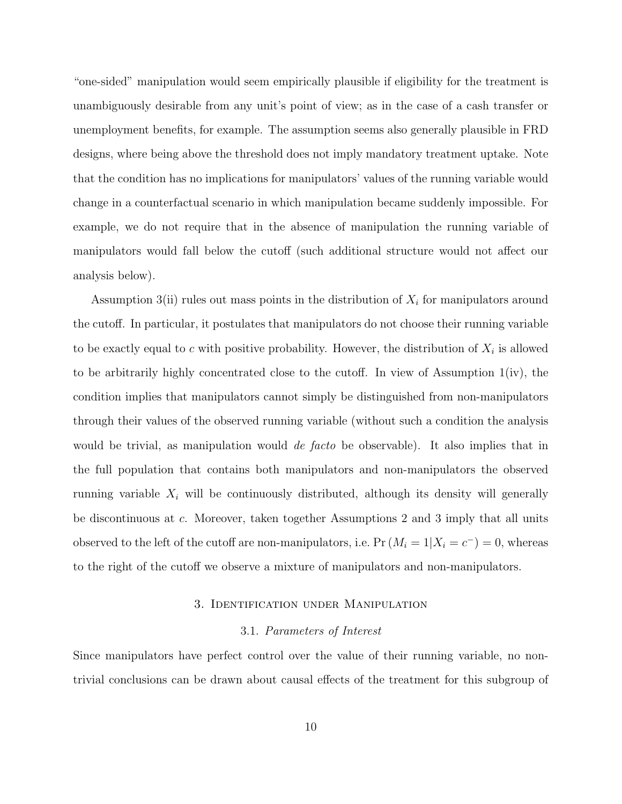"one-sided" manipulation would seem empirically plausible if eligibility for the treatment is unambiguously desirable from any unit's point of view; as in the case of a cash transfer or unemployment benefits, for example. The assumption seems also generally plausible in FRD designs, where being above the threshold does not imply mandatory treatment uptake. Note that the condition has no implications for manipulators' values of the running variable would change in a counterfactual scenario in which manipulation became suddenly impossible. For example, we do not require that in the absence of manipulation the running variable of manipulators would fall below the cutoff (such additional structure would not affect our analysis below).

Assumption 3(ii) rules out mass points in the distribution of  $X_i$  for manipulators around the cutoff. In particular, it postulates that manipulators do not choose their running variable to be exactly equal to c with positive probability. However, the distribution of  $X_i$  is allowed to be arbitrarily highly concentrated close to the cutoff. In view of Assumption 1(iv), the condition implies that manipulators cannot simply be distinguished from non-manipulators through their values of the observed running variable (without such a condition the analysis would be trivial, as manipulation would *de facto* be observable). It also implies that in the full population that contains both manipulators and non-manipulators the observed running variable  $X_i$  will be continuously distributed, although its density will generally be discontinuous at c. Moreover, taken together Assumptions 2 and 3 imply that all units observed to the left of the cutoff are non-manipulators, i.e.  $Pr(M_i = 1 | X_i = c^-) = 0$ , whereas to the right of the cutoff we observe a mixture of manipulators and non-manipulators.

#### 3. Identification under Manipulation

#### 3.1. Parameters of Interest

Since manipulators have perfect control over the value of their running variable, no nontrivial conclusions can be drawn about causal effects of the treatment for this subgroup of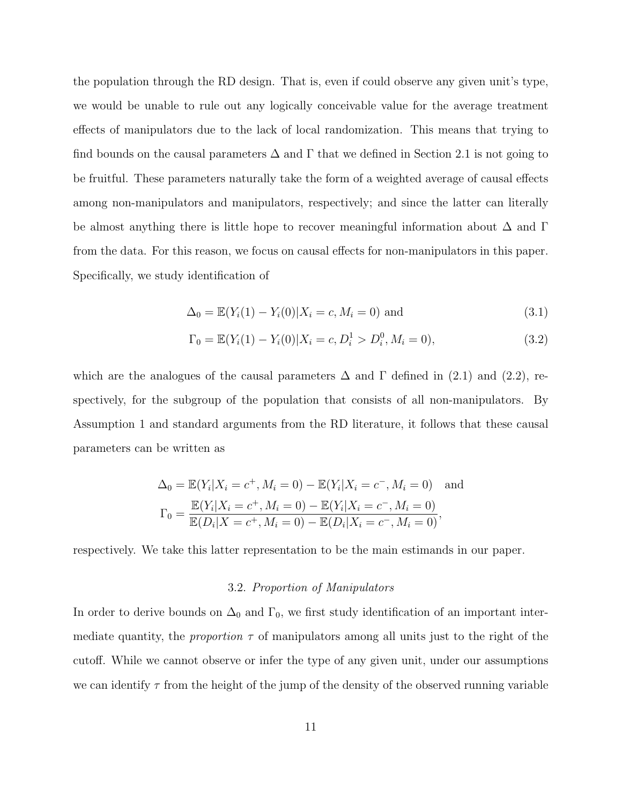the population through the RD design. That is, even if could observe any given unit's type, we would be unable to rule out any logically conceivable value for the average treatment effects of manipulators due to the lack of local randomization. This means that trying to find bounds on the causal parameters  $\Delta$  and  $\Gamma$  that we defined in Section 2.1 is not going to be fruitful. These parameters naturally take the form of a weighted average of causal effects among non-manipulators and manipulators, respectively; and since the latter can literally be almost anything there is little hope to recover meaningful information about  $\Delta$  and  $\Gamma$ from the data. For this reason, we focus on causal effects for non-manipulators in this paper. Specifically, we study identification of

$$
\Delta_0 = \mathbb{E}(Y_i(1) - Y_i(0)|X_i = c, M_i = 0) \text{ and } (3.1)
$$

$$
\Gamma_0 = \mathbb{E}(Y_i(1) - Y_i(0)|X_i = c, D_i^1 > D_i^0, M_i = 0),
$$
\n(3.2)

which are the analogues of the causal parameters  $\Delta$  and  $\Gamma$  defined in (2.1) and (2.2), respectively, for the subgroup of the population that consists of all non-manipulators. By Assumption 1 and standard arguments from the RD literature, it follows that these causal parameters can be written as

$$
\Delta_0 = \mathbb{E}(Y_i | X_i = c^+, M_i = 0) - \mathbb{E}(Y_i | X_i = c^-, M_i = 0) \text{ and}
$$
  
\n
$$
\Gamma_0 = \frac{\mathbb{E}(Y_i | X_i = c^+, M_i = 0) - \mathbb{E}(Y_i | X_i = c^-, M_i = 0)}{\mathbb{E}(D_i | X = c^+, M_i = 0) - \mathbb{E}(D_i | X_i = c^-, M_i = 0)},
$$

respectively. We take this latter representation to be the main estimands in our paper.

#### 3.2. Proportion of Manipulators

In order to derive bounds on  $\Delta_0$  and  $\Gamma_0$ , we first study identification of an important intermediate quantity, the proportion  $\tau$  of manipulators among all units just to the right of the cutoff. While we cannot observe or infer the type of any given unit, under our assumptions we can identify  $\tau$  from the height of the jump of the density of the observed running variable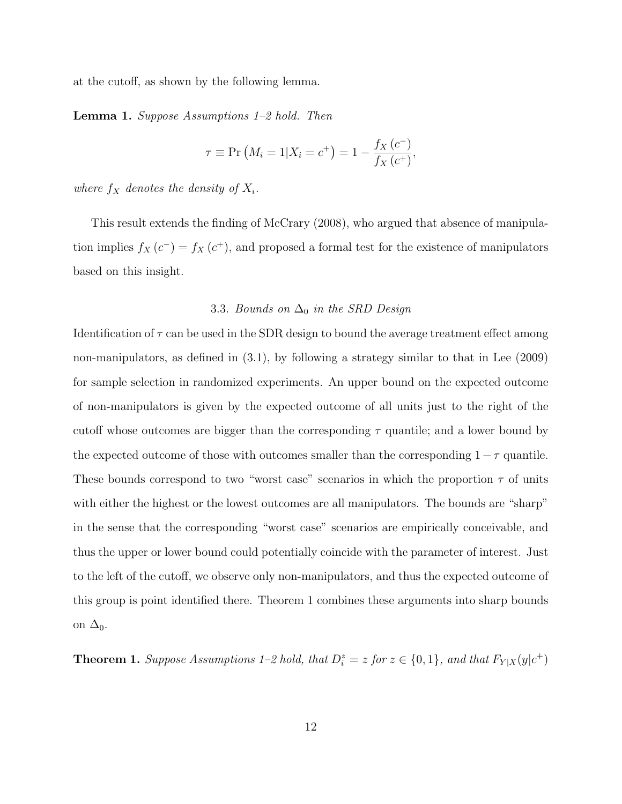at the cutoff, as shown by the following lemma.

Lemma 1. Suppose Assumptions 1–2 hold. Then

$$
\tau \equiv \Pr(M_i = 1 | X_i = c^+) = 1 - \frac{f_X(c^-)}{f_X(c^+)},
$$

where  $f_X$  denotes the density of  $X_i$ .

This result extends the finding of McCrary (2008), who argued that absence of manipulation implies  $f_X(c^-) = f_X(c^+)$ , and proposed a formal test for the existence of manipulators based on this insight.

## 3.3. Bounds on  $\Delta_0$  in the SRD Design

Identification of  $\tau$  can be used in the SDR design to bound the average treatment effect among non-manipulators, as defined in (3.1), by following a strategy similar to that in Lee (2009) for sample selection in randomized experiments. An upper bound on the expected outcome of non-manipulators is given by the expected outcome of all units just to the right of the cutoff whose outcomes are bigger than the corresponding  $\tau$  quantile; and a lower bound by the expected outcome of those with outcomes smaller than the corresponding  $1 - \tau$  quantile. These bounds correspond to two "worst case" scenarios in which the proportion  $\tau$  of units with either the highest or the lowest outcomes are all manipulators. The bounds are "sharp" in the sense that the corresponding "worst case" scenarios are empirically conceivable, and thus the upper or lower bound could potentially coincide with the parameter of interest. Just to the left of the cutoff, we observe only non-manipulators, and thus the expected outcome of this group is point identified there. Theorem 1 combines these arguments into sharp bounds on  $\Delta_0$ .

**Theorem 1.** Suppose Assumptions 1–2 hold, that  $D_i^z = z$  for  $z \in \{0, 1\}$ , and that  $F_{Y|X}(y|c^+)$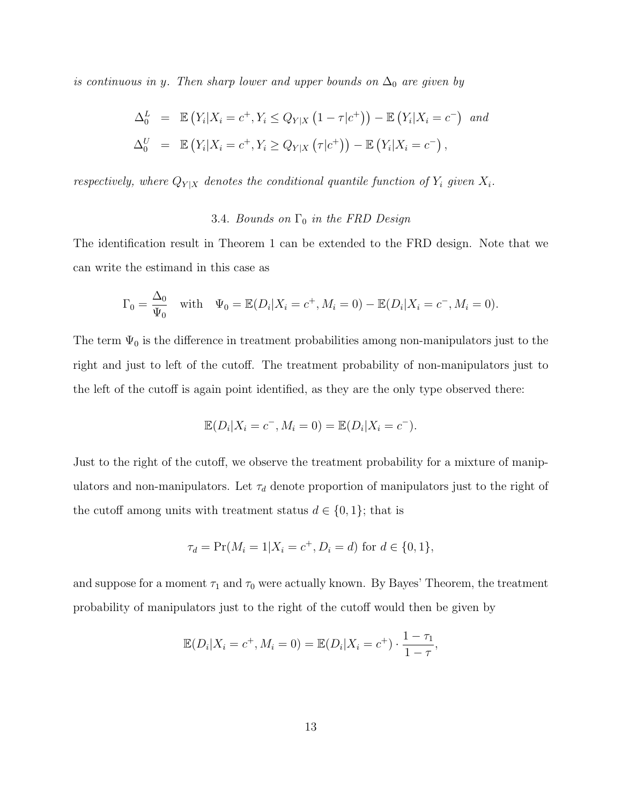is continuous in y. Then sharp lower and upper bounds on  $\Delta_0$  are given by

$$
\Delta_0^L = \mathbb{E}\left(Y_i|X_i = c^+, Y_i \le Q_{Y|X}\left(1 - \tau|c^+\right)\right) - \mathbb{E}\left(Y_i|X_i = c^-\right) \text{ and}
$$
  

$$
\Delta_0^U = \mathbb{E}\left(Y_i|X_i = c^+, Y_i \ge Q_{Y|X}\left(\tau|c^+\right)\right) - \mathbb{E}\left(Y_i|X_i = c^-\right),
$$

respectively, where  $Q_{Y|X}$  denotes the conditional quantile function of  $Y_i$  given  $X_i$ .

# 3.4. Bounds on  $\Gamma_0$  in the FRD Design

The identification result in Theorem 1 can be extended to the FRD design. Note that we can write the estimand in this case as

$$
\Gamma_0 = \frac{\Delta_0}{\Psi_0}
$$
 with  $\Psi_0 = \mathbb{E}(D_i|X_i = c^+, M_i = 0) - \mathbb{E}(D_i|X_i = c^-, M_i = 0).$ 

The term  $\Psi_0$  is the difference in treatment probabilities among non-manipulators just to the right and just to left of the cutoff. The treatment probability of non-manipulators just to the left of the cutoff is again point identified, as they are the only type observed there:

$$
\mathbb{E}(D_i|X_i = c^-, M_i = 0) = \mathbb{E}(D_i|X_i = c^-).
$$

Just to the right of the cutoff, we observe the treatment probability for a mixture of manipulators and non-manipulators. Let  $\tau_d$  denote proportion of manipulators just to the right of the cutoff among units with treatment status  $d \in \{0, 1\}$ ; that is

$$
\tau_d = \Pr(M_i = 1 | X_i = c^+, D_i = d) \text{ for } d \in \{0, 1\},\
$$

and suppose for a moment  $\tau_1$  and  $\tau_0$  were actually known. By Bayes' Theorem, the treatment probability of manipulators just to the right of the cutoff would then be given by

$$
\mathbb{E}(D_i|X_i = c^+, M_i = 0) = \mathbb{E}(D_i|X_i = c^+) \cdot \frac{1 - \tau_1}{1 - \tau},
$$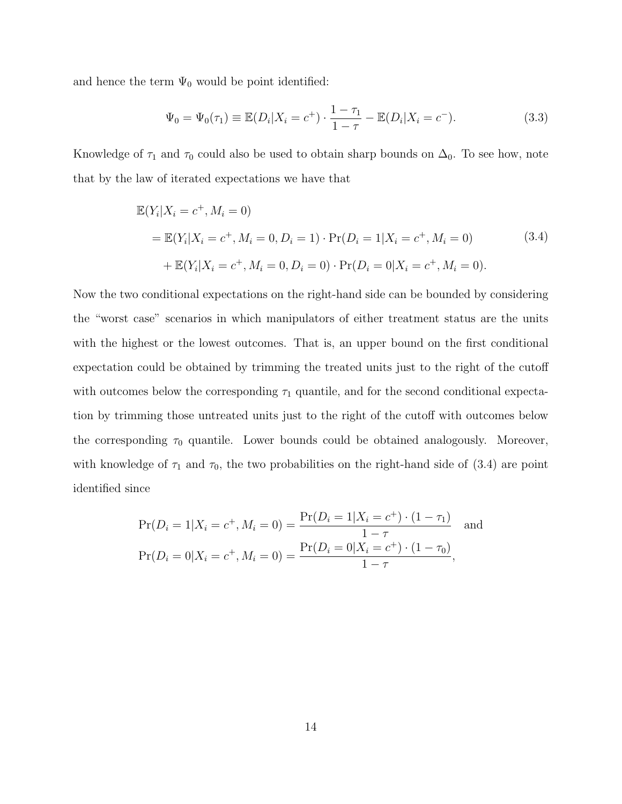and hence the term  $\Psi_0$  would be point identified:

$$
\Psi_0 = \Psi_0(\tau_1) \equiv \mathbb{E}(D_i | X_i = c^+) \cdot \frac{1 - \tau_1}{1 - \tau} - \mathbb{E}(D_i | X_i = c^-). \tag{3.3}
$$

Knowledge of  $\tau_1$  and  $\tau_0$  could also be used to obtain sharp bounds on  $\Delta_0$ . To see how, note that by the law of iterated expectations we have that

$$
\mathbb{E}(Y_i|X_i = c^+, M_i = 0)
$$
  
=  $\mathbb{E}(Y_i|X_i = c^+, M_i = 0, D_i = 1) \cdot \Pr(D_i = 1|X_i = c^+, M_i = 0)$  (3.4)  
+  $\mathbb{E}(Y_i|X_i = c^+, M_i = 0, D_i = 0) \cdot \Pr(D_i = 0|X_i = c^+, M_i = 0).$ 

Now the two conditional expectations on the right-hand side can be bounded by considering the "worst case" scenarios in which manipulators of either treatment status are the units with the highest or the lowest outcomes. That is, an upper bound on the first conditional expectation could be obtained by trimming the treated units just to the right of the cutoff with outcomes below the corresponding  $\tau_1$  quantile, and for the second conditional expectation by trimming those untreated units just to the right of the cutoff with outcomes below the corresponding  $\tau_0$  quantile. Lower bounds could be obtained analogously. Moreover, with knowledge of  $\tau_1$  and  $\tau_0$ , the two probabilities on the right-hand side of (3.4) are point identified since

$$
\Pr(D_i = 1 | X_i = c^+, M_i = 0) = \frac{\Pr(D_i = 1 | X_i = c^+) \cdot (1 - \tau_1)}{1 - \tau} \text{ and}
$$

$$
\Pr(D_i = 0 | X_i = c^+, M_i = 0) = \frac{\Pr(D_i = 0 | X_i = c^+) \cdot (1 - \tau_0)}{1 - \tau},
$$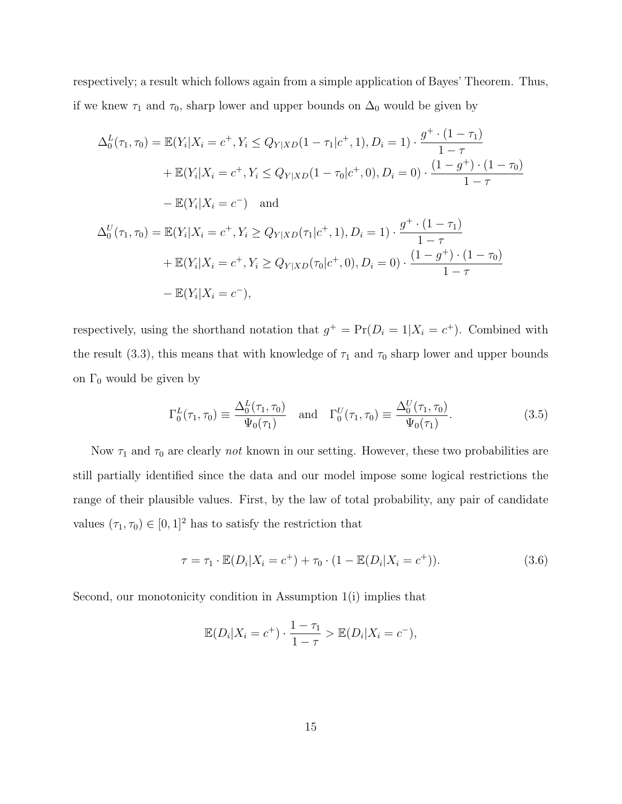respectively; a result which follows again from a simple application of Bayes' Theorem. Thus, if we knew  $\tau_1$  and  $\tau_0$ , sharp lower and upper bounds on  $\Delta_0$  would be given by

$$
\Delta_0^L(\tau_1, \tau_0) = \mathbb{E}(Y_i | X_i = c^+, Y_i \le Q_{Y|XD}(1 - \tau_1 | c^+, 1), D_i = 1) \cdot \frac{g^+ \cdot (1 - \tau_1)}{1 - \tau} \n+ \mathbb{E}(Y_i | X_i = c^+, Y_i \le Q_{Y|XD}(1 - \tau_0 | c^+, 0), D_i = 0) \cdot \frac{(1 - g^+) \cdot (1 - \tau_0)}{1 - \tau} \n- \mathbb{E}(Y_i | X_i = c^-) \quad \text{and} \n\Delta_0^U(\tau_1, \tau_0) = \mathbb{E}(Y_i | X_i = c^+, Y_i \ge Q_{Y|XD}(\tau_1 | c^+, 1), D_i = 1) \cdot \frac{g^+ \cdot (1 - \tau_1)}{1 - \tau} \n+ \mathbb{E}(Y_i | X_i = c^+, Y_i \ge Q_{Y|XD}(\tau_0 | c^+, 0), D_i = 0) \cdot \frac{(1 - g^+) \cdot (1 - \tau_0)}{1 - \tau} \n- \mathbb{E}(Y_i | X_i = c^-),
$$

respectively, using the shorthand notation that  $g^+ = \Pr(D_i = 1 | X_i = c^+)$ . Combined with the result (3.3), this means that with knowledge of  $\tau_1$  and  $\tau_0$  sharp lower and upper bounds on  $\Gamma_0$  would be given by

$$
\Gamma_0^L(\tau_1, \tau_0) \equiv \frac{\Delta_0^L(\tau_1, \tau_0)}{\Psi_0(\tau_1)} \quad \text{and} \quad \Gamma_0^U(\tau_1, \tau_0) \equiv \frac{\Delta_0^U(\tau_1, \tau_0)}{\Psi_0(\tau_1)}.
$$
\n(3.5)

Now  $\tau_1$  and  $\tau_0$  are clearly *not* known in our setting. However, these two probabilities are still partially identified since the data and our model impose some logical restrictions the range of their plausible values. First, by the law of total probability, any pair of candidate values  $(\tau_1,\tau_0)\in [0,1]^2$  has to satisfy the restriction that

$$
\tau = \tau_1 \cdot \mathbb{E}(D_i | X_i = c^+) + \tau_0 \cdot (1 - \mathbb{E}(D_i | X_i = c^+)). \tag{3.6}
$$

Second, our monotonicity condition in Assumption 1(i) implies that

$$
\mathbb{E}(D_i|X_i = c^+) \cdot \frac{1 - \tau_1}{1 - \tau} > \mathbb{E}(D_i|X_i = c^-),
$$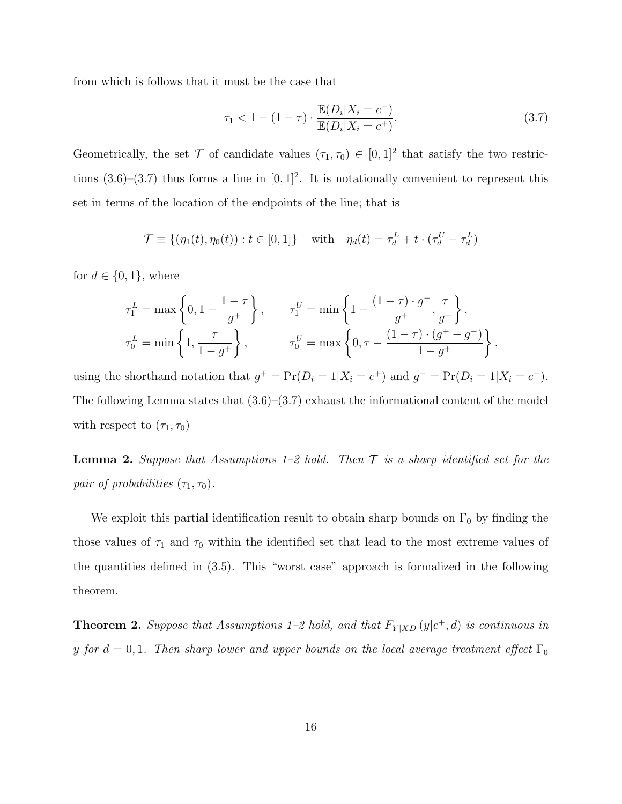from which is follows that it must be the case that

$$
\tau_1 < 1 - (1 - \tau) \cdot \frac{\mathbb{E}(D_i | X_i = c^-)}{\mathbb{E}(D_i | X_i = c^+)}.\tag{3.7}
$$

Geometrically, the set  $\mathcal T$  of candidate values  $(\tau_1, \tau_0) \in [0,1]^2$  that satisfy the two restrictions  $(3.6)$ – $(3.7)$  thus forms a line in  $[0, 1]^2$ . It is notationally convenient to represent this set in terms of the location of the endpoints of the line; that is

$$
\mathcal{T} \equiv \{ (\eta_1(t), \eta_0(t)) : t \in [0, 1] \} \quad \text{with} \quad \eta_d(t) = \tau_d^L + t \cdot (\tau_d^U - \tau_d^L)
$$

for  $d \in \{0, 1\}$ , where

$$
\begin{split} &\tau^L_1=\max\left\{0,1-\frac{1-\tau}{g^+}\right\},\qquad \tau^U_1=\min\left\{1-\frac{(1-\tau)\cdot g^-}{g^+},\frac{\tau}{g^+}\right\},\\ &\tau^L_0=\min\left\{1,\frac{\tau}{1-g^+}\right\},\qquad \qquad \tau^U_0=\max\left\{0,\tau-\frac{(1-\tau)\cdot(g^+-g^-)}{1-g^+}\right\}, \end{split}
$$

using the shorthand notation that  $g^+ = \Pr(D_i = 1 | X_i = c^+)$  and  $g^- = \Pr(D_i = 1 | X_i = c^-)$ . The following Lemma states that  $(3.6)$ – $(3.7)$  exhaust the informational content of the model with respect to  $(\tau_1, \tau_0)$ 

**Lemma 2.** Suppose that Assumptions 1–2 hold. Then  $\mathcal T$  is a sharp identified set for the pair of probabilities  $(\tau_1, \tau_0)$ .

We exploit this partial identification result to obtain sharp bounds on  $\Gamma_0$  by finding the those values of  $\tau_1$  and  $\tau_0$  within the identified set that lead to the most extreme values of the quantities defined in (3.5). This "worst case" approach is formalized in the following theorem.

**Theorem 2.** Suppose that Assumptions 1–2 hold, and that  $F_{Y|XD}(y|c^+,d)$  is continuous in y for  $d = 0, 1$ . Then sharp lower and upper bounds on the local average treatment effect  $\Gamma_0$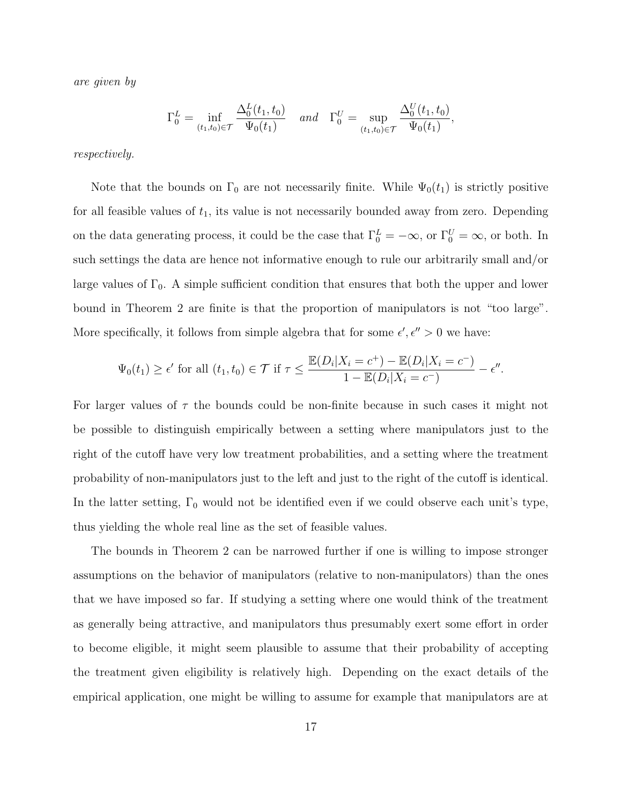are given by

$$
\Gamma_0^L = \inf_{(t_1, t_0) \in \mathcal{T}} \frac{\Delta_0^L(t_1, t_0)}{\Psi_0(t_1)} \quad \text{and} \quad \Gamma_0^U = \sup_{(t_1, t_0) \in \mathcal{T}} \frac{\Delta_0^U(t_1, t_0)}{\Psi_0(t_1)},
$$

respectively.

Note that the bounds on  $\Gamma_0$  are not necessarily finite. While  $\Psi_0(t_1)$  is strictly positive for all feasible values of  $t_1$ , its value is not necessarily bounded away from zero. Depending on the data generating process, it could be the case that  $\Gamma_0^L = -\infty$ , or  $\Gamma_0^U = \infty$ , or both. In such settings the data are hence not informative enough to rule our arbitrarily small and/or large values of  $\Gamma_0$ . A simple sufficient condition that ensures that both the upper and lower bound in Theorem 2 are finite is that the proportion of manipulators is not "too large". More specifically, it follows from simple algebra that for some  $\epsilon', \epsilon'' > 0$  we have:

$$
\Psi_0(t_1) \ge \epsilon'
$$
 for all  $(t_1, t_0) \in \mathcal{T}$  if  $\tau \le \frac{\mathbb{E}(D_i|X_i = c^+) - \mathbb{E}(D_i|X_i = c^-)}{1 - \mathbb{E}(D_i|X_i = c^-)} - \epsilon''$ .

For larger values of  $\tau$  the bounds could be non-finite because in such cases it might not be possible to distinguish empirically between a setting where manipulators just to the right of the cutoff have very low treatment probabilities, and a setting where the treatment probability of non-manipulators just to the left and just to the right of the cutoff is identical. In the latter setting,  $\Gamma_0$  would not be identified even if we could observe each unit's type, thus yielding the whole real line as the set of feasible values.

The bounds in Theorem 2 can be narrowed further if one is willing to impose stronger assumptions on the behavior of manipulators (relative to non-manipulators) than the ones that we have imposed so far. If studying a setting where one would think of the treatment as generally being attractive, and manipulators thus presumably exert some effort in order to become eligible, it might seem plausible to assume that their probability of accepting the treatment given eligibility is relatively high. Depending on the exact details of the empirical application, one might be willing to assume for example that manipulators are at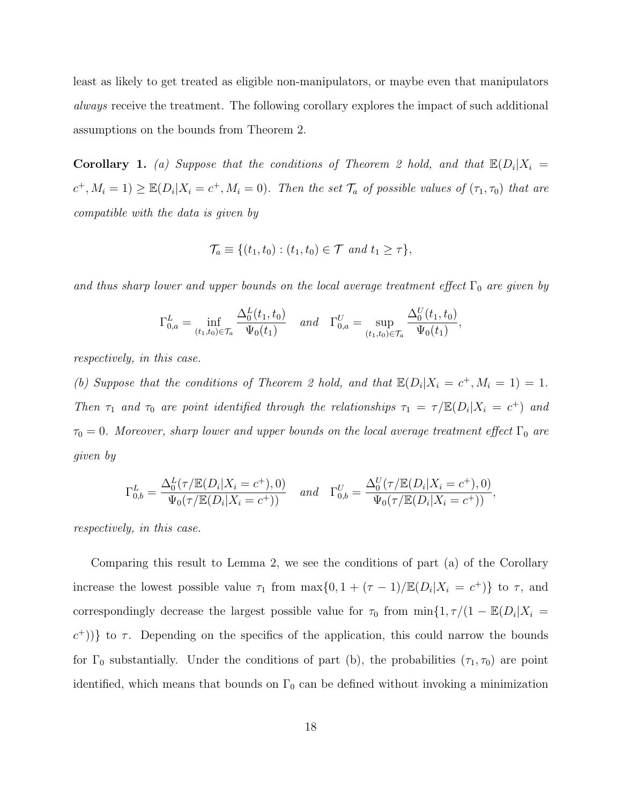least as likely to get treated as eligible non-manipulators, or maybe even that manipulators always receive the treatment. The following corollary explores the impact of such additional assumptions on the bounds from Theorem 2.

**Corollary 1.** (a) Suppose that the conditions of Theorem 2 hold, and that  $\mathbb{E}(D_i|X_i)$  $(c^+, M_i = 1) \geq \mathbb{E}(D_i | X_i = c^+, M_i = 0)$ . Then the set  $\mathcal{T}_a$  of possible values of  $(\tau_1, \tau_0)$  that are compatible with the data is given by

$$
\mathcal{T}_a \equiv \{ (t_1, t_0) : (t_1, t_0) \in \mathcal{T} \text{ and } t_1 \geq \tau \},
$$

and thus sharp lower and upper bounds on the local average treatment effect  $\Gamma_0$  are given by

$$
\Gamma_{0,a}^L = \inf_{(t_1,t_0) \in \mathcal{T}_a} \frac{\Delta_0^L(t_1,t_0)}{\Psi_0(t_1)} \quad \text{and} \quad \Gamma_{0,a}^U = \sup_{(t_1,t_0) \in \mathcal{T}_a} \frac{\Delta_0^U(t_1,t_0)}{\Psi_0(t_1)},
$$

respectively, in this case.

(b) Suppose that the conditions of Theorem 2 hold, and that  $\mathbb{E}(D_i|X_i = c^+, M_i = 1) = 1$ . Then  $\tau_1$  and  $\tau_0$  are point identified through the relationships  $\tau_1 = \tau/\mathbb{E}(D_i|X_i = c^+)$  and  $\tau_0 = 0$ . Moreover, sharp lower and upper bounds on the local average treatment effect  $\Gamma_0$  are given by

$$
\Gamma_{0,b}^L = \frac{\Delta_0^L(\tau/\mathbb{E}(D_i|X_i = c^+), 0)}{\Psi_0(\tau/\mathbb{E}(D_i|X_i = c^+))} \quad and \quad \Gamma_{0,b}^U = \frac{\Delta_0^U(\tau/\mathbb{E}(D_i|X_i = c^+), 0)}{\Psi_0(\tau/\mathbb{E}(D_i|X_i = c^+))},
$$

respectively, in this case.

Comparing this result to Lemma 2, we see the conditions of part (a) of the Corollary increase the lowest possible value  $\tau_1$  from  $\max\{0, 1 + (\tau - 1)/\mathbb{E}(D_i|X_i = c^+)\}\)$  to  $\tau$ , and correspondingly decrease the largest possible value for  $\tau_0$  from  $\min\{1, \tau/(1 - \mathbb{E}(D_i|X_i))\}$  $(c^+$ ))} to  $\tau$ . Depending on the specifics of the application, this could narrow the bounds for  $\Gamma_0$  substantially. Under the conditions of part (b), the probabilities  $(\tau_1, \tau_0)$  are point identified, which means that bounds on  $\Gamma_0$  can be defined without invoking a minimization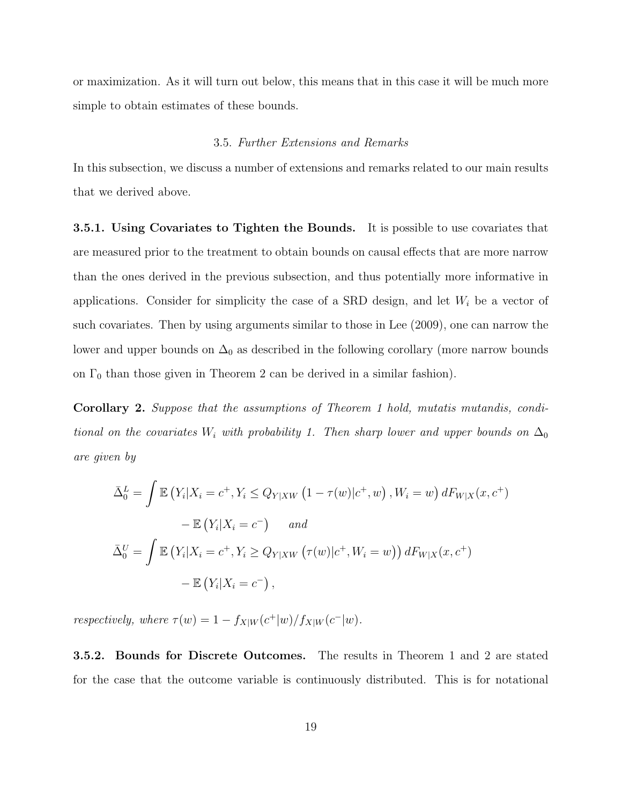or maximization. As it will turn out below, this means that in this case it will be much more simple to obtain estimates of these bounds.

#### 3.5. Further Extensions and Remarks

In this subsection, we discuss a number of extensions and remarks related to our main results that we derived above.

3.5.1. Using Covariates to Tighten the Bounds. It is possible to use covariates that are measured prior to the treatment to obtain bounds on causal effects that are more narrow than the ones derived in the previous subsection, and thus potentially more informative in applications. Consider for simplicity the case of a SRD design, and let  $W_i$  be a vector of such covariates. Then by using arguments similar to those in Lee (2009), one can narrow the lower and upper bounds on  $\Delta_0$  as described in the following corollary (more narrow bounds on  $\Gamma_0$  than those given in Theorem 2 can be derived in a similar fashion).

Corollary 2. Suppose that the assumptions of Theorem 1 hold, mutatis mutandis, conditional on the covariates W<sub>i</sub> with probability 1. Then sharp lower and upper bounds on  $\Delta_0$ are given by

$$
\bar{\Delta}_0^L = \int \mathbb{E} \left( Y_i | X_i = c^+, Y_i \le Q_{Y|XW} \left( 1 - \tau(w) | c^+, w \right), W_i = w \right) dF_{W|X}(x, c^+)
$$

$$
- \mathbb{E} \left( Y_i | X_i = c^- \right) \quad and
$$

$$
\bar{\Delta}_0^U = \int \mathbb{E} \left( Y_i | X_i = c^+, Y_i \ge Q_{Y|XW} \left( \tau(w) | c^+, W_i = w \right) \right) dF_{W|X}(x, c^+)
$$

$$
- \mathbb{E} \left( Y_i | X_i = c^- \right),
$$

respectively, where  $\tau(w) = 1 - f_{X|W}(c^+|w)/f_{X|W}(c^-|w)$ .

3.5.2. Bounds for Discrete Outcomes. The results in Theorem 1 and 2 are stated for the case that the outcome variable is continuously distributed. This is for notational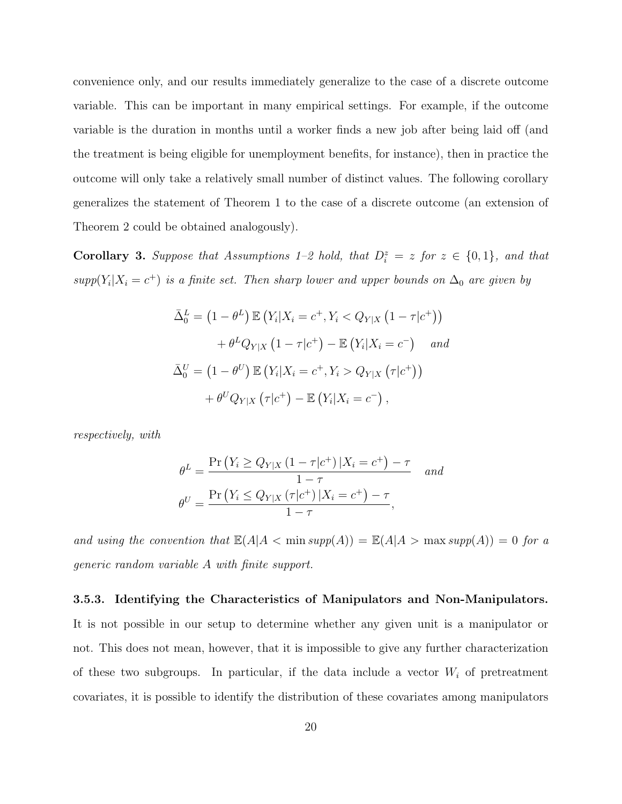convenience only, and our results immediately generalize to the case of a discrete outcome variable. This can be important in many empirical settings. For example, if the outcome variable is the duration in months until a worker finds a new job after being laid off (and the treatment is being eligible for unemployment benefits, for instance), then in practice the outcome will only take a relatively small number of distinct values. The following corollary generalizes the statement of Theorem 1 to the case of a discrete outcome (an extension of Theorem 2 could be obtained analogously).

**Corollary 3.** Suppose that Assumptions 1–2 hold, that  $D_i^z = z$  for  $z \in \{0,1\}$ , and that  $supp(Y_i|X_i = c^+)$  is a finite set. Then sharp lower and upper bounds on  $\Delta_0$  are given by

$$
\bar{\Delta}_0^L = \left(1 - \theta^L\right) \mathbb{E}\left(Y_i | X_i = c^+, Y_i < Q_{Y|X} \left(1 - \tau | c^+\right)\right) \\
+ \theta^L Q_{Y|X} \left(1 - \tau | c^+\right) - \mathbb{E}\left(Y_i | X_i = c^-\right) \quad \text{and} \\
\bar{\Delta}_0^U = \left(1 - \theta^U\right) \mathbb{E}\left(Y_i | X_i = c^+, Y_i > Q_{Y|X} \left(\tau | c^+\right)\right) \\
+ \theta^U Q_{Y|X} \left(\tau | c^+\right) - \mathbb{E}\left(Y_i | X_i = c^-\right),
$$

respectively, with

$$
\theta^{L} = \frac{\Pr(Y_{i} \ge Q_{Y|X} (1 - \tau|c^{+}) | X_{i} = c^{+}) - \tau}{1 - \tau} \quad and
$$

$$
\theta^{U} = \frac{\Pr(Y_{i} \le Q_{Y|X} (\tau|c^{+}) | X_{i} = c^{+}) - \tau}{1 - \tau},
$$

and using the convention that  $\mathbb{E}(A|A \leq \min supp(A)) = \mathbb{E}(A|A \geq \max supp(A)) = 0$  for a generic random variable A with finite support.

#### 3.5.3. Identifying the Characteristics of Manipulators and Non-Manipulators.

It is not possible in our setup to determine whether any given unit is a manipulator or not. This does not mean, however, that it is impossible to give any further characterization of these two subgroups. In particular, if the data include a vector  $W_i$  of pretreatment covariates, it is possible to identify the distribution of these covariates among manipulators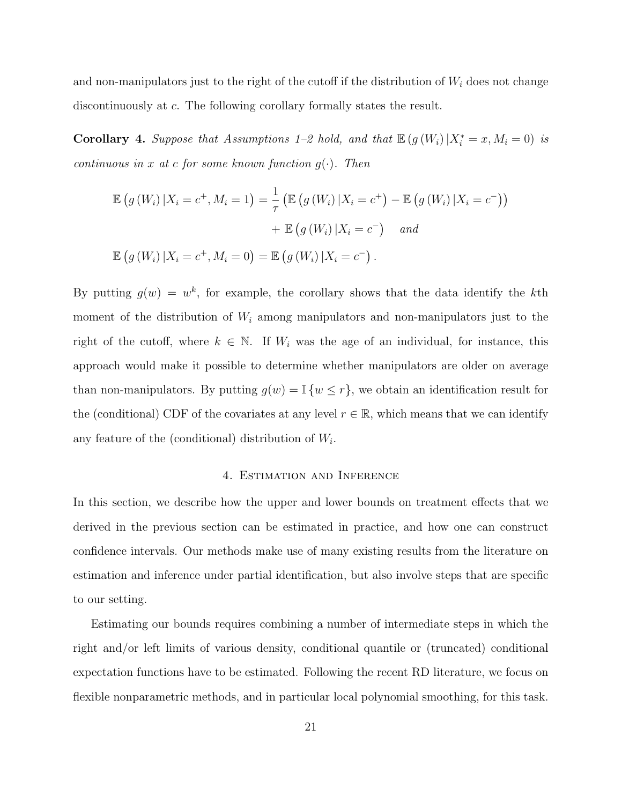and non-manipulators just to the right of the cutoff if the distribution of  $W_i$  does not change discontinuously at c. The following corollary formally states the result.

Corollary 4. Suppose that Assumptions 1–2 hold, and that  $\mathbb{E}(g(W_i)|X_i^* = x, M_i = 0)$  is continuous in x at c for some known function  $g(\cdot)$ . Then

$$
\mathbb{E}\left(g\left(W_{i}\right)|X_{i}=c^{+},M_{i}=1\right)=\frac{1}{\tau}\left(\mathbb{E}\left(g\left(W_{i}\right)|X_{i}=c^{+}\right)-\mathbb{E}\left(g\left(W_{i}\right)|X_{i}=c^{-}\right)\right)
$$

$$
+\mathbb{E}\left(g\left(W_{i}\right)|X_{i}=c^{-}\right) \quad and
$$

$$
\mathbb{E}\left(g\left(W_{i}\right)|X_{i}=c^{+},M_{i}=0\right)=\mathbb{E}\left(g\left(W_{i}\right)|X_{i}=c^{-}\right).
$$

By putting  $g(w) = w^k$ , for example, the corollary shows that the data identify the kth moment of the distribution of  $W_i$  among manipulators and non-manipulators just to the right of the cutoff, where  $k \in \mathbb{N}$ . If  $W_i$  was the age of an individual, for instance, this approach would make it possible to determine whether manipulators are older on average than non-manipulators. By putting  $g(w) = \mathbb{I}\{w \leq r\}$ , we obtain an identification result for the (conditional) CDF of the covariates at any level  $r \in \mathbb{R}$ , which means that we can identify any feature of the (conditional) distribution of  $W_i$ .

#### 4. Estimation and Inference

In this section, we describe how the upper and lower bounds on treatment effects that we derived in the previous section can be estimated in practice, and how one can construct confidence intervals. Our methods make use of many existing results from the literature on estimation and inference under partial identification, but also involve steps that are specific to our setting.

Estimating our bounds requires combining a number of intermediate steps in which the right and/or left limits of various density, conditional quantile or (truncated) conditional expectation functions have to be estimated. Following the recent RD literature, we focus on flexible nonparametric methods, and in particular local polynomial smoothing, for this task.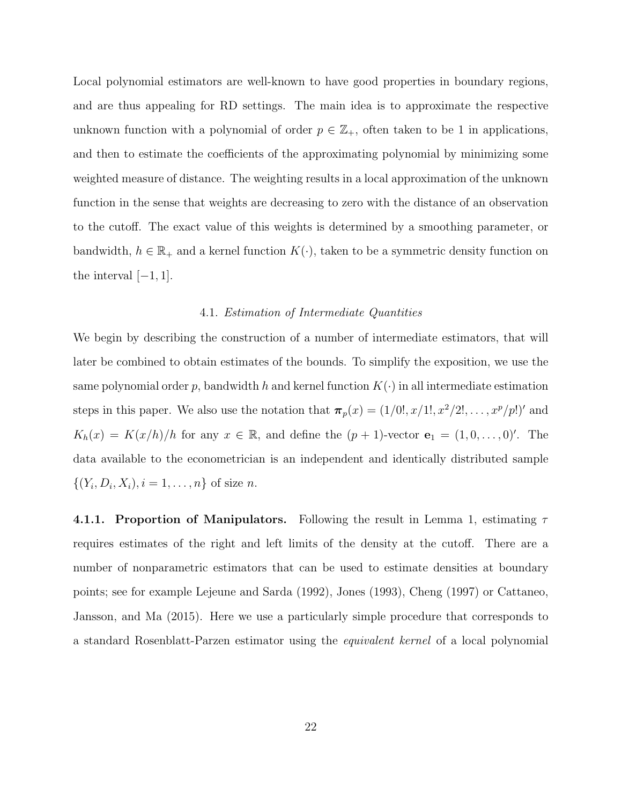Local polynomial estimators are well-known to have good properties in boundary regions, and are thus appealing for RD settings. The main idea is to approximate the respective unknown function with a polynomial of order  $p \in \mathbb{Z}_+$ , often taken to be 1 in applications, and then to estimate the coefficients of the approximating polynomial by minimizing some weighted measure of distance. The weighting results in a local approximation of the unknown function in the sense that weights are decreasing to zero with the distance of an observation to the cutoff. The exact value of this weights is determined by a smoothing parameter, or bandwidth,  $h \in \mathbb{R}_+$  and a kernel function  $K(\cdot)$ , taken to be a symmetric density function on the interval  $[-1, 1]$ .

#### 4.1. Estimation of Intermediate Quantities

We begin by describing the construction of a number of intermediate estimators, that will later be combined to obtain estimates of the bounds. To simplify the exposition, we use the same polynomial order p, bandwidth h and kernel function  $K(\cdot)$  in all intermediate estimation steps in this paper. We also use the notation that  $\pi_p(x) = (1/0!, x/1!, x^2/2!, \ldots, x^p/p!)'$  and  $K_h(x) = K(x/h)/h$  for any  $x \in \mathbb{R}$ , and define the  $(p+1)$ -vector  $\mathbf{e}_1 = (1, 0, \ldots, 0)$ '. The data available to the econometrician is an independent and identically distributed sample  $\{(Y_i, D_i, X_i), i = 1, ..., n\}$  of size *n*.

4.1.1. Proportion of Manipulators. Following the result in Lemma 1, estimating  $\tau$ requires estimates of the right and left limits of the density at the cutoff. There are a number of nonparametric estimators that can be used to estimate densities at boundary points; see for example Lejeune and Sarda (1992), Jones (1993), Cheng (1997) or Cattaneo, Jansson, and Ma (2015). Here we use a particularly simple procedure that corresponds to a standard Rosenblatt-Parzen estimator using the equivalent kernel of a local polynomial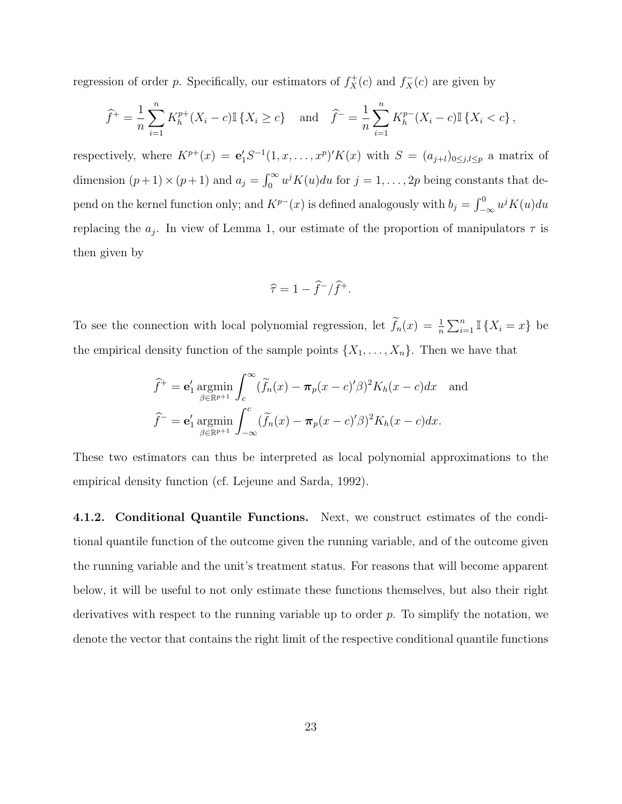regression of order p. Specifically, our estimators of  $f_X^+(c)$  and  $f_X^-(c)$  are given by

$$
\widehat{f}^+ = \frac{1}{n} \sum_{i=1}^n K_h^{p+}(X_i - c) \mathbb{I} \{ X_i \ge c \} \text{ and } \widehat{f}^- = \frac{1}{n} \sum_{i=1}^n K_h^{p-}(X_i - c) \mathbb{I} \{ X_i < c \},
$$

respectively, where  $K^{p+}(x) = e_1' S^{-1}(1, x, \ldots, x^p)' K(x)$  with  $S = (a_{j+l})_{0 \leq j,l \leq p}$  a matrix of dimension  $(p+1) \times (p+1)$  and  $a_j = \int_0^\infty u^j K(u) du$  for  $j = 1, \ldots, 2p$  being constants that depend on the kernel function only; and  $K^{p-}(x)$  is defined analogously with  $b_j = \int_{-\infty}^0 u^j K(u) du$ replacing the  $a_j$ . In view of Lemma 1, our estimate of the proportion of manipulators  $\tau$  is then given by

$$
\widehat{\tau} = 1 - \widehat{f}^- / \widehat{f}^+.
$$

To see the connection with local polynomial regression, let  $\tilde{f}_n(x) = \frac{1}{n} \sum_{i=1}^n \mathbb{I} \{X_i = x\}$  be the empirical density function of the sample points  $\{X_1, \ldots, X_n\}$ . Then we have that

$$
\widehat{f}^+ = \mathbf{e}'_1 \operatorname*{argmin}_{\beta \in \mathbb{R}^{p+1}} \int_c^{\infty} (\widetilde{f}_n(x) - \pi_p(x - c)'\beta)^2 K_h(x - c) dx \text{ and}
$$

$$
\widehat{f}^- = \mathbf{e}'_1 \operatorname*{argmin}_{\beta \in \mathbb{R}^{p+1}} \int_{-\infty}^c (\widetilde{f}_n(x) - \pi_p(x - c)'\beta)^2 K_h(x - c) dx.
$$

These two estimators can thus be interpreted as local polynomial approximations to the empirical density function (cf. Lejeune and Sarda, 1992).

4.1.2. Conditional Quantile Functions. Next, we construct estimates of the conditional quantile function of the outcome given the running variable, and of the outcome given the running variable and the unit's treatment status. For reasons that will become apparent below, it will be useful to not only estimate these functions themselves, but also their right derivatives with respect to the running variable up to order  $p$ . To simplify the notation, we denote the vector that contains the right limit of the respective conditional quantile functions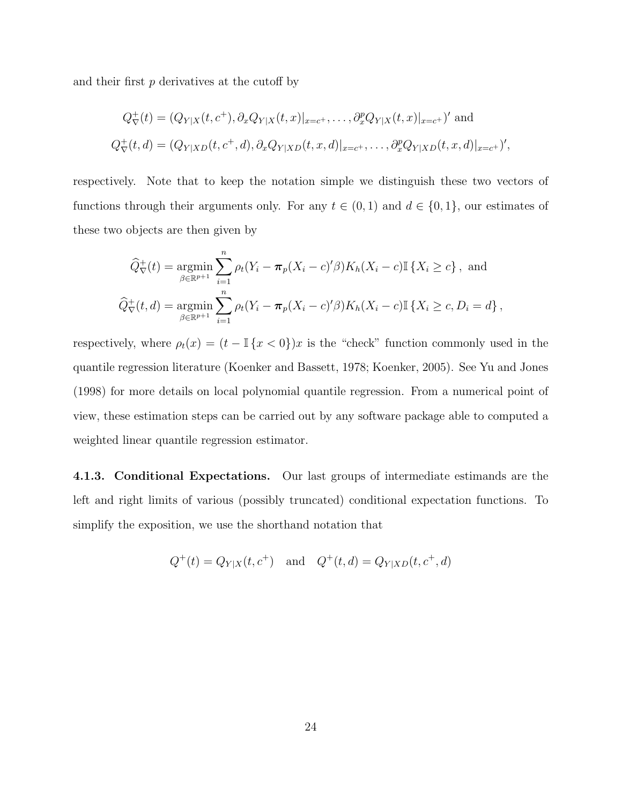and their first  $p$  derivatives at the cutoff by

$$
Q_{\nabla}^{+}(t) = (Q_{Y|X}(t, c^{+}), \partial_{x}Q_{Y|X}(t, x)|_{x=c^{+}}, \dots, \partial_{x}^{p}Q_{Y|X}(t, x)|_{x=c^{+}})' \text{ and}
$$
  

$$
Q_{\nabla}^{+}(t, d) = (Q_{Y|XD}(t, c^{+}, d), \partial_{x}Q_{Y|XD}(t, x, d)|_{x=c^{+}}, \dots, \partial_{x}^{p}Q_{Y|XD}(t, x, d)|_{x=c^{+}})',
$$

respectively. Note that to keep the notation simple we distinguish these two vectors of functions through their arguments only. For any  $t \in (0,1)$  and  $d \in \{0,1\}$ , our estimates of these two objects are then given by

$$
\widehat{Q}_{\nabla}^{+}(t) = \underset{\beta \in \mathbb{R}^{p+1}}{\text{argmin}} \sum_{i=1}^{n} \rho_{t}(Y_{i} - \pi_{p}(X_{i} - c)^{t}\beta) K_{h}(X_{i} - c) \mathbb{I} \{X_{i} \ge c\}, \text{ and}
$$
  

$$
\widehat{Q}_{\nabla}^{+}(t, d) = \underset{\beta \in \mathbb{R}^{p+1}}{\text{argmin}} \sum_{i=1}^{n} \rho_{t}(Y_{i} - \pi_{p}(X_{i} - c)^{t}\beta) K_{h}(X_{i} - c) \mathbb{I} \{X_{i} \ge c, D_{i} = d\},
$$

respectively, where  $\rho_t(x) = (t - \mathbb{I}\{x < 0\})x$  is the "check" function commonly used in the quantile regression literature (Koenker and Bassett, 1978; Koenker, 2005). See Yu and Jones (1998) for more details on local polynomial quantile regression. From a numerical point of view, these estimation steps can be carried out by any software package able to computed a weighted linear quantile regression estimator.

4.1.3. Conditional Expectations. Our last groups of intermediate estimands are the left and right limits of various (possibly truncated) conditional expectation functions. To simplify the exposition, we use the shorthand notation that

$$
Q^+(t) = Q_{Y|X}(t, c^+)
$$
 and  $Q^+(t, d) = Q_{Y|XD}(t, c^+, d)$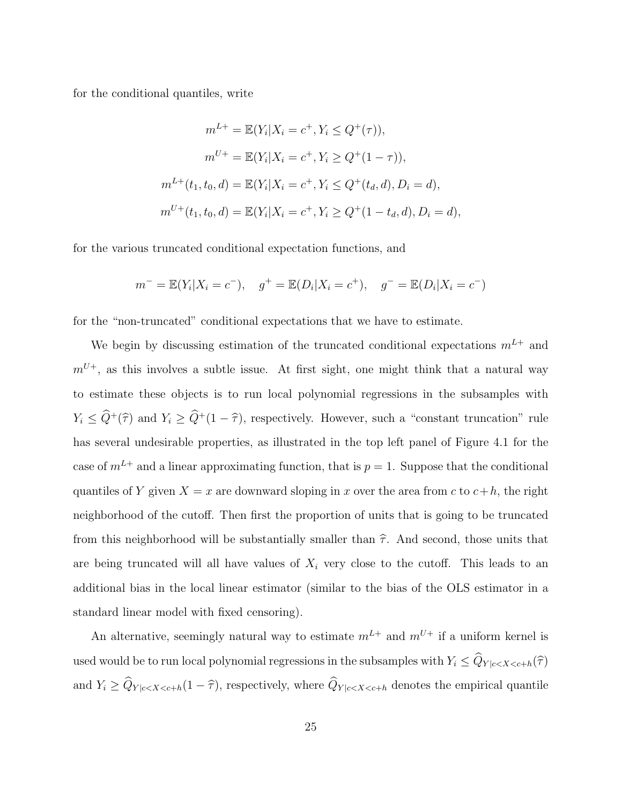for the conditional quantiles, write

$$
m^{L+} = \mathbb{E}(Y_i | X_i = c^+, Y_i \le Q^+(\tau)),
$$
  
\n
$$
m^{U+} = \mathbb{E}(Y_i | X_i = c^+, Y_i \ge Q^+(1-\tau)),
$$
  
\n
$$
m^{L+}(t_1, t_0, d) = \mathbb{E}(Y_i | X_i = c^+, Y_i \le Q^+(t_d, d), D_i = d),
$$
  
\n
$$
m^{U+}(t_1, t_0, d) = \mathbb{E}(Y_i | X_i = c^+, Y_i \ge Q^+(1-t_d, d), D_i = d),
$$

for the various truncated conditional expectation functions, and

$$
m^- = \mathbb{E}(Y_i | X_i = c^-), \quad g^+ = \mathbb{E}(D_i | X_i = c^+), \quad g^- = \mathbb{E}(D_i | X_i = c^-)
$$

for the "non-truncated" conditional expectations that we have to estimate.

We begin by discussing estimation of the truncated conditional expectations  $m^{L+}$  and  $m^{U+}$ , as this involves a subtle issue. At first sight, one might think that a natural way to estimate these objects is to run local polynomial regressions in the subsamples with  $Y_i \leq \hat{Q}^+(\hat{\tau})$  and  $Y_i \geq \hat{Q}^+(1-\hat{\tau})$ , respectively. However, such a "constant truncation" rule has several undesirable properties, as illustrated in the top left panel of Figure 4.1 for the case of  $m^{L+}$  and a linear approximating function, that is  $p = 1$ . Suppose that the conditional quantiles of Y given  $X = x$  are downward sloping in x over the area from c to  $c+h$ , the right neighborhood of the cutoff. Then first the proportion of units that is going to be truncated from this neighborhood will be substantially smaller than  $\hat{\tau}$ . And second, those units that are being truncated will all have values of  $X_i$  very close to the cutoff. This leads to an additional bias in the local linear estimator (similar to the bias of the OLS estimator in a standard linear model with fixed censoring).

An alternative, seemingly natural way to estimate  $m^{L+}$  and  $m^{U+}$  if a uniform kernel is used would be to run local polynomial regressions in the subsamples with  $Y_i \leq \widehat{Q}_{Y \mid c < X < c+h}(\widehat{\tau})$ and  $Y_i \geq \hat{Q}_{Y|c, respectively, where  $\hat{Q}_{Y|c denotes the empirical quantile$$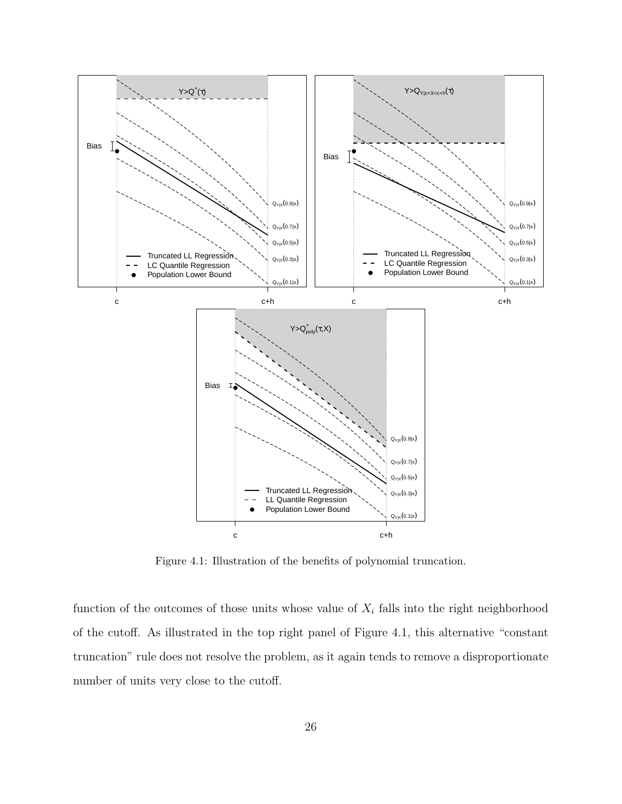

Figure 4.1: Illustration of the benefits of polynomial truncation.

function of the outcomes of those units whose value of  $X_i$  falls into the right neighborhood of the cutoff. As illustrated in the top right panel of Figure 4.1, this alternative "constant truncation" rule does not resolve the problem, as it again tends to remove a disproportionate number of units very close to the cutoff.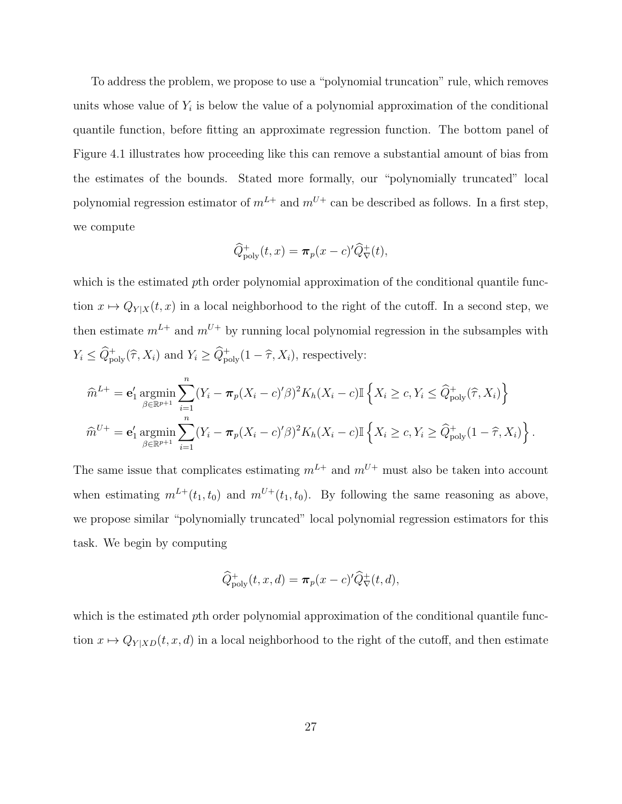To address the problem, we propose to use a "polynomial truncation" rule, which removes units whose value of  $Y_i$  is below the value of a polynomial approximation of the conditional quantile function, before fitting an approximate regression function. The bottom panel of Figure 4.1 illustrates how proceeding like this can remove a substantial amount of bias from the estimates of the bounds. Stated more formally, our "polynomially truncated" local polynomial regression estimator of  $m^{L+}$  and  $m^{U+}$  can be described as follows. In a first step, we compute

$$
\widehat{Q}_{\text{poly}}^+(t,x) = \pi_p(x-c)'\widehat{Q}_{\nabla}^+(t),
$$

which is the estimated pth order polynomial approximation of the conditional quantile function  $x \mapsto Q_{Y|X}(t, x)$  in a local neighborhood to the right of the cutoff. In a second step, we then estimate  $m^{L+}$  and  $m^{U+}$  by running local polynomial regression in the subsamples with  $Y_i \leq \widehat{Q}_{\text{poly}}^+(\widehat{\tau}, X_i)$  and  $Y_i \geq \widehat{Q}_{\text{poly}}^+(1-\widehat{\tau}, X_i)$ , respectively:

$$
\widehat{m}^{L+} = \mathbf{e}'_1 \operatorname*{argmin}_{\beta \in \mathbb{R}^{p+1}} \sum_{i=1}^n (Y_i - \pi_p (X_i - c)' \beta)^2 K_h (X_i - c) \mathbb{I} \left\{ X_i \ge c, Y_i \le \widehat{Q}^+_{\text{poly}}(\widehat{\tau}, X_i) \right\}
$$

$$
\widehat{m}^{U+} = \mathbf{e}'_1 \operatorname*{argmin}_{\beta \in \mathbb{R}^{p+1}} \sum_{i=1}^n (Y_i - \pi_p (X_i - c)' \beta)^2 K_h (X_i - c) \mathbb{I} \left\{ X_i \ge c, Y_i \ge \widehat{Q}^+_{\text{poly}}(1 - \widehat{\tau}, X_i) \right\}.
$$

The same issue that complicates estimating  $m^{L+}$  and  $m^{U+}$  must also be taken into account when estimating  $m^{L+}(t_1, t_0)$  and  $m^{U+}(t_1, t_0)$ . By following the same reasoning as above, we propose similar "polynomially truncated" local polynomial regression estimators for this task. We begin by computing

$$
\widehat{Q}_{\text{poly}}^+(t,x,d) = \pi_p(x-c)'\widehat{Q}_{\nabla}^+(t,d),
$$

which is the estimated pth order polynomial approximation of the conditional quantile function  $x \mapsto Q_{Y|XD}(t, x, d)$  in a local neighborhood to the right of the cutoff, and then estimate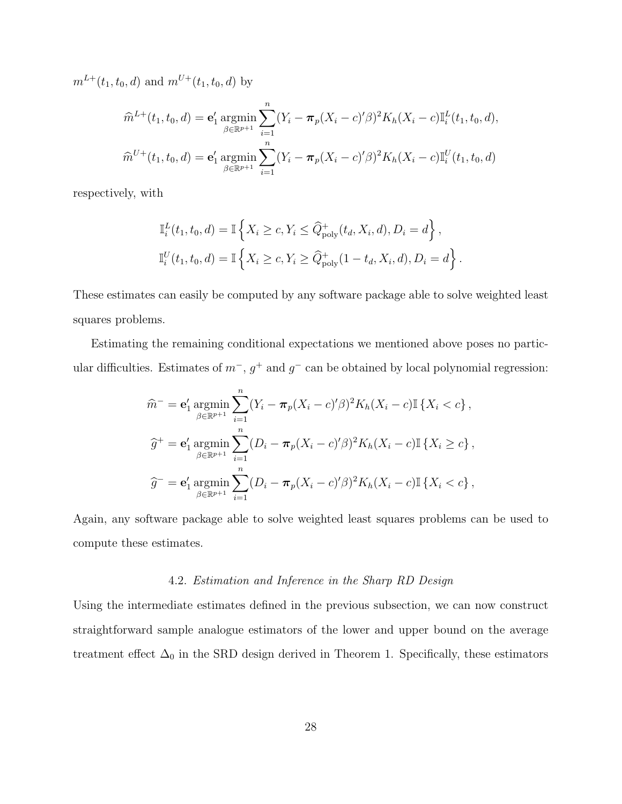$m^{L+}(t_1, t_0, d)$  and  $m^{U+}(t_1, t_0, d)$  by

$$
\widehat{m}^{L+}(t_1, t_0, d) = \mathbf{e}'_1 \operatorname*{argmin}_{\beta \in \mathbb{R}^{p+1}} \sum_{i=1}^n (Y_i - \pi_p(X_i - c)'\beta)^2 K_h(X_i - c) \mathbb{I}_i^L(t_1, t_0, d),
$$
  

$$
\widehat{m}^{U+}(t_1, t_0, d) = \mathbf{e}'_1 \operatorname*{argmin}_{\beta \in \mathbb{R}^{p+1}} \sum_{i=1}^n (Y_i - \pi_p(X_i - c)'\beta)^2 K_h(X_i - c) \mathbb{I}_i^U(t_1, t_0, d)
$$

respectively, with

$$
\mathbb{I}_{i}^{L}(t_{1}, t_{0}, d) = \mathbb{I}\left\{X_{i} \geq c, Y_{i} \leq \widehat{Q}_{poly}^{+}(t_{d}, X_{i}, d), D_{i} = d\right\},
$$
  

$$
\mathbb{I}_{i}^{U}(t_{1}, t_{0}, d) = \mathbb{I}\left\{X_{i} \geq c, Y_{i} \geq \widehat{Q}_{poly}^{+}(1 - t_{d}, X_{i}, d), D_{i} = d\right\}.
$$

These estimates can easily be computed by any software package able to solve weighted least squares problems.

Estimating the remaining conditional expectations we mentioned above poses no particular difficulties. Estimates of  $m^-$ ,  $g^+$  and  $g^-$  can be obtained by local polynomial regression:

$$
\widehat{m}^{-} = \mathbf{e}'_1 \operatorname*{argmin}_{\beta \in \mathbb{R}^{p+1}} \sum_{i=1}^{n} (Y_i - \pi_p (X_i - c)' \beta)^2 K_h (X_i - c) \mathbb{I} \{ X_i < c \},
$$
\n
$$
\widehat{g}^{+} = \mathbf{e}'_1 \operatorname*{argmin}_{\beta \in \mathbb{R}^{p+1}} \sum_{i=1}^{n} (D_i - \pi_p (X_i - c)' \beta)^2 K_h (X_i - c) \mathbb{I} \{ X_i \ge c \},
$$
\n
$$
\widehat{g}^{-} = \mathbf{e}'_1 \operatorname*{argmin}_{\beta \in \mathbb{R}^{p+1}} \sum_{i=1}^{n} (D_i - \pi_p (X_i - c)' \beta)^2 K_h (X_i - c) \mathbb{I} \{ X_i < c \},
$$

Again, any software package able to solve weighted least squares problems can be used to compute these estimates.

#### 4.2. Estimation and Inference in the Sharp RD Design

Using the intermediate estimates defined in the previous subsection, we can now construct straightforward sample analogue estimators of the lower and upper bound on the average treatment effect  $\Delta_0$  in the SRD design derived in Theorem 1. Specifically, these estimators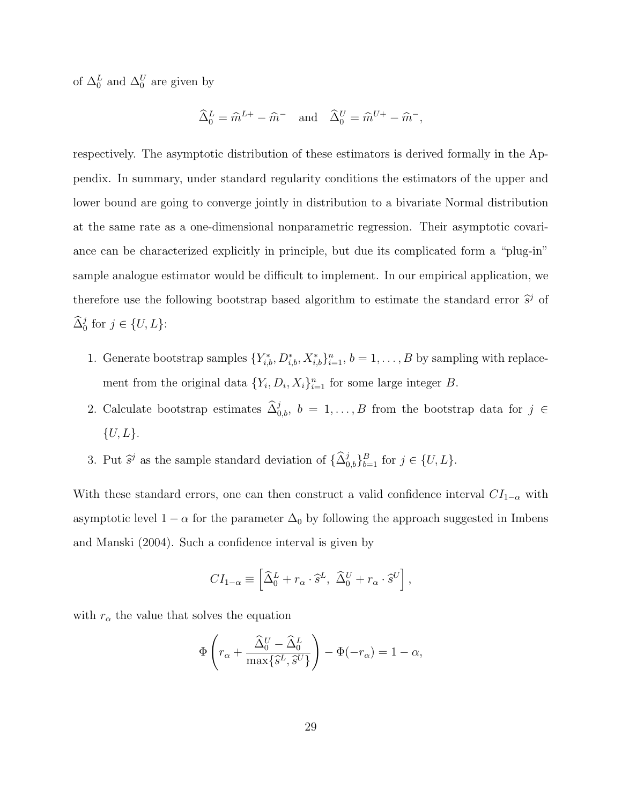of  $\Delta_0^L$  and  $\Delta_0^U$  are given by

$$
\widehat{\Delta}_0^L = \widehat{m}^{L+} - \widehat{m}^- \quad \text{and} \quad \widehat{\Delta}_0^U = \widehat{m}^{U+} - \widehat{m}^-,
$$

respectively. The asymptotic distribution of these estimators is derived formally in the Appendix. In summary, under standard regularity conditions the estimators of the upper and lower bound are going to converge jointly in distribution to a bivariate Normal distribution at the same rate as a one-dimensional nonparametric regression. Their asymptotic covariance can be characterized explicitly in principle, but due its complicated form a "plug-in" sample analogue estimator would be difficult to implement. In our empirical application, we therefore use the following bootstrap based algorithm to estimate the standard error  $\hat{s}^j$  of  $\widehat{\Delta}_0^j$  for  $j \in \{U, L\}$ :

- 1. Generate bootstrap samples  $\{Y_{i,b}^*, D_{i,b}^*, X_{i,b}^*\}_{i=1}^n$ ,  $b = 1, \ldots, B$  by sampling with replacement from the original data  $\{Y_i, D_i, X_i\}_{i=1}^n$  for some large integer B.
- 2. Calculate bootstrap estimates  $\widehat{\Delta}_{0,b}^j$ ,  $b = 1, \ldots, B$  from the bootstrap data for  $j \in$  $\{U, L\}.$
- 3. Put  $\hat{s}^j$  as the sample standard deviation of  $\{\hat{\Delta}_{0,b}^j\}_{b=1}^B$  for  $j \in \{U, L\}$ .

With these standard errors, one can then construct a valid confidence interval  $CI_{1-\alpha}$  with asymptotic level  $1 - \alpha$  for the parameter  $\Delta_0$  by following the approach suggested in Imbens and Manski (2004). Such a confidence interval is given by

$$
CI_{1-\alpha} \equiv \left[ \widehat{\Delta}_0^L + r_\alpha \cdot \widehat{s}^L, \ \widehat{\Delta}_0^U + r_\alpha \cdot \widehat{s}^U \right],
$$

with  $r_{\alpha}$  the value that solves the equation

$$
\Phi\left(r_{\alpha} + \frac{\widehat{\Delta}_{0}^{U} - \widehat{\Delta}_{0}^{L}}{\max\{\widehat{s}^{L}, \widehat{s}^{U}\}}\right) - \Phi(-r_{\alpha}) = 1 - \alpha,
$$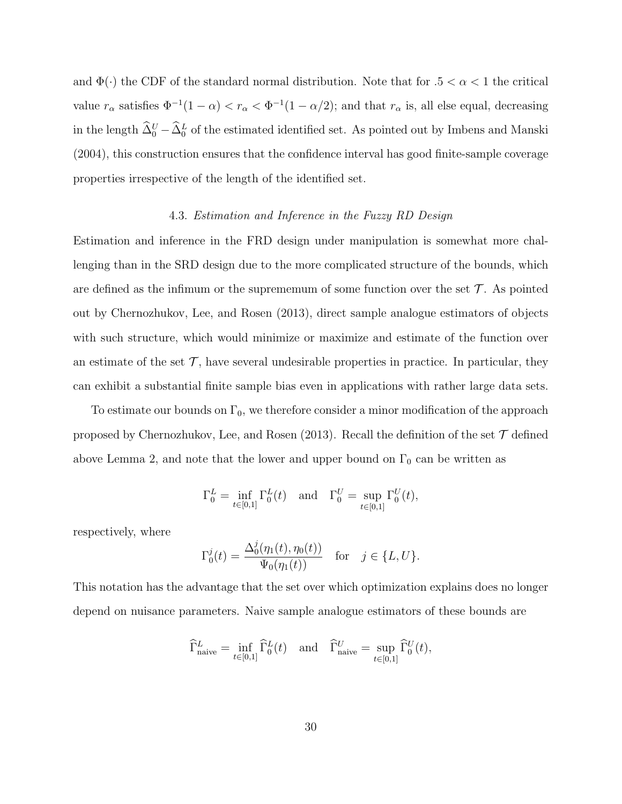and  $\Phi(\cdot)$  the CDF of the standard normal distribution. Note that for  $.5 < \alpha < 1$  the critical value  $r_{\alpha}$  satisfies  $\Phi^{-1}(1-\alpha) < r_{\alpha} < \Phi^{-1}(1-\alpha/2)$ ; and that  $r_{\alpha}$  is, all else equal, decreasing in the length  $\hat{\Delta}_0^U - \hat{\Delta}_0^L$  of the estimated identified set. As pointed out by Imbens and Manski (2004), this construction ensures that the confidence interval has good finite-sample coverage properties irrespective of the length of the identified set.

#### 4.3. Estimation and Inference in the Fuzzy RD Design

Estimation and inference in the FRD design under manipulation is somewhat more challenging than in the SRD design due to the more complicated structure of the bounds, which are defined as the infimum or the suprememum of some function over the set  $\mathcal T$ . As pointed out by Chernozhukov, Lee, and Rosen (2013), direct sample analogue estimators of objects with such structure, which would minimize or maximize and estimate of the function over an estimate of the set  $\mathcal{T}$ , have several undesirable properties in practice. In particular, they can exhibit a substantial finite sample bias even in applications with rather large data sets.

To estimate our bounds on  $\Gamma_0$ , we therefore consider a minor modification of the approach proposed by Chernozhukov, Lee, and Rosen (2013). Recall the definition of the set  $\mathcal T$  defined above Lemma 2, and note that the lower and upper bound on  $\Gamma_0$  can be written as

$$
\Gamma_0^L = \inf_{t \in [0,1]} \Gamma_0^L(t) \quad \text{and} \quad \Gamma_0^U = \sup_{t \in [0,1]} \Gamma_0^U(t),
$$

respectively, where

$$
\Gamma_0^j(t) = \frac{\Delta_0^j(\eta_1(t), \eta_0(t))}{\Psi_0(\eta_1(t))} \quad \text{for} \quad j \in \{L, U\}.
$$

This notation has the advantage that the set over which optimization explains does no longer depend on nuisance parameters. Naive sample analogue estimators of these bounds are

$$
\widehat{\Gamma}^L_{\text{naive}} = \inf_{t \in [0,1]} \widehat{\Gamma}^L_0(t) \quad \text{and} \quad \widehat{\Gamma}^U_{\text{naive}} = \sup_{t \in [0,1]} \widehat{\Gamma}^U_0(t),
$$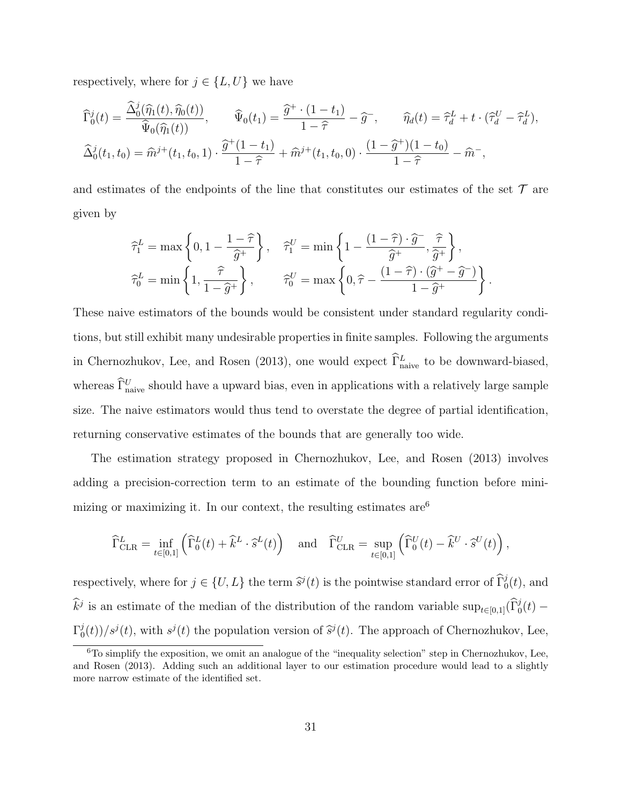respectively, where for  $j \in \{L, U\}$  we have

$$
\widehat{\Gamma}_0^j(t) = \frac{\widehat{\Delta}_0^j(\widehat{\eta}_1(t), \widehat{\eta}_0(t))}{\widehat{\Psi}_0(\widehat{\eta}_1(t))}, \qquad \widehat{\Psi}_0(t_1) = \frac{\widehat{g}^+ \cdot (1 - t_1)}{1 - \widehat{\tau}} - \widehat{g}^-, \qquad \widehat{\eta}_d(t) = \widehat{\tau}_d^L + t \cdot (\widehat{\tau}_d^U - \widehat{\tau}_d^L),
$$
  

$$
\widehat{\Delta}_0^j(t_1, t_0) = \widehat{m}^{j+}(t_1, t_0, 1) \cdot \frac{\widehat{g}^+(1 - t_1)}{1 - \widehat{\tau}} + \widehat{m}^{j+}(t_1, t_0, 0) \cdot \frac{(1 - \widehat{g}^+)(1 - t_0)}{1 - \widehat{\tau}} - \widehat{m}^-,
$$

and estimates of the endpoints of the line that constitutes our estimates of the set  $\mathcal T$  are given by

$$
\begin{aligned}\n\widehat{\tau}_1^L &= \max\left\{0, 1 - \frac{1 - \widehat{\tau}}{\widehat{g}^+}\right\}, \quad \widehat{\tau}_1^U = \min\left\{1 - \frac{\left(1 - \widehat{\tau}\right) \cdot \widehat{g}^-}{\widehat{g}^+}, \frac{\widehat{\tau}}{\widehat{g}^+}\right\}, \\
\widehat{\tau}_0^L &= \min\left\{1, \frac{\widehat{\tau}}{1 - \widehat{g}^+}\right\}, \quad \widehat{\tau}_0^U = \max\left\{0, \widehat{\tau} - \frac{\left(1 - \widehat{\tau}\right) \cdot \left(\widehat{g}^+ - \widehat{g}^-\right)}{1 - \widehat{g}^+}\right\}.\n\end{aligned}
$$

These naive estimators of the bounds would be consistent under standard regularity conditions, but still exhibit many undesirable properties in finite samples. Following the arguments in Chernozhukov, Lee, and Rosen (2013), one would expect  $\hat{\Gamma}^L_{\text{naive}}$  to be downward-biased, whereas  $\tilde{\Gamma}_{\text{naive}}^U$  should have a upward bias, even in applications with a relatively large sample size. The naive estimators would thus tend to overstate the degree of partial identification, returning conservative estimates of the bounds that are generally too wide.

The estimation strategy proposed in Chernozhukov, Lee, and Rosen (2013) involves adding a precision-correction term to an estimate of the bounding function before minimizing or maximizing it. In our context, the resulting estimates  $are<sup>6</sup>$ 

$$
\widehat{\Gamma}^{L}_{\text{CLR}} = \inf_{t \in [0,1]} \left( \widehat{\Gamma}^{L}_{0}(t) + \widehat{k}^{L} \cdot \widehat{s}^{L}(t) \right) \quad \text{and} \quad \widehat{\Gamma}^{U}_{\text{CLR}} = \sup_{t \in [0,1]} \left( \widehat{\Gamma}^{U}_{0}(t) - \widehat{k}^{U} \cdot \widehat{s}^{U}(t) \right),
$$

respectively, where for  $j \in \{U, L\}$  the term  $\hat{s}^j(t)$  is the pointwise standard error of  $\widehat{\Gamma}_0^j(t)$ , and  $\hat{k}^j$  is an estimate of the median of the distribution of the random variable  $\sup_{t\in[0,1]}(\hat{\Gamma}_0^j(t) \Gamma_0^j$  $\frac{\partial^j(t)}{\partial s^j}(t)$ , with  $s^j(t)$  the population version of  $\hat{s}^j(t)$ . The approach of Chernozhukov, Lee,

 $6T<sub>0</sub>$  simplify the exposition, we omit an analogue of the "inequality selection" step in Chernozhukov, Lee, and Rosen (2013). Adding such an additional layer to our estimation procedure would lead to a slightly more narrow estimate of the identified set.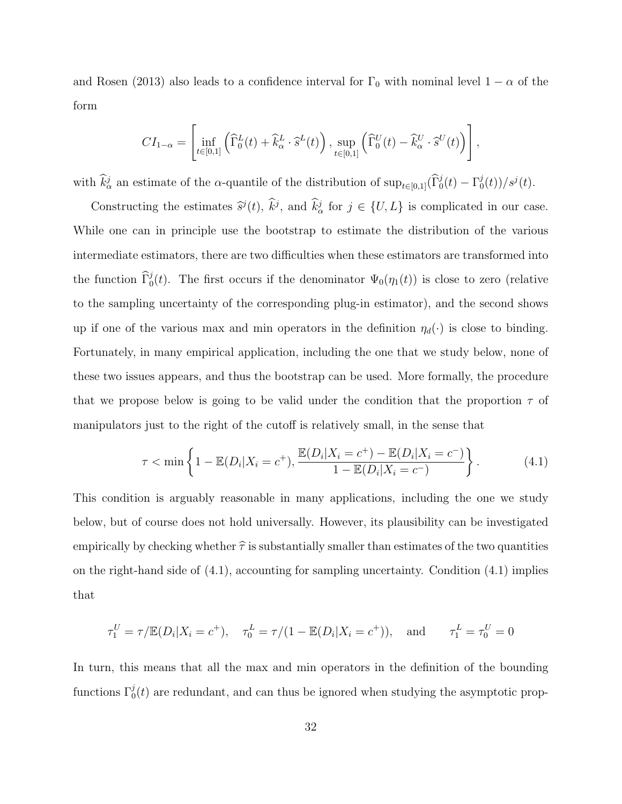and Rosen (2013) also leads to a confidence interval for  $\Gamma_0$  with nominal level  $1 - \alpha$  of the form

$$
CI_{1-\alpha} = \left[ \inf_{t \in [0,1]} \left( \widehat{\Gamma}_0^L(t) + \widehat{k}_\alpha^L \cdot \widehat{s}^L(t) \right), \sup_{t \in [0,1]} \left( \widehat{\Gamma}_0^U(t) - \widehat{k}_\alpha^U \cdot \widehat{s}^U(t) \right) \right],
$$

with  $\hat{k}^j_\alpha$  an estimate of the  $\alpha$ -quantile of the distribution of  $\sup_{t\in[0,1]}(\hat{\Gamma}^j_0(t)-\Gamma^j_0(t))$  $\frac{j_{0}(t))}{s^{j}(t)}$ .

Constructing the estimates  $\hat{s}^j(t)$ ,  $\hat{k}^j$ , and  $\hat{k}^j_\alpha$  for  $j \in \{U, L\}$  is complicated in our case. While one can in principle use the bootstrap to estimate the distribution of the various intermediate estimators, there are two difficulties when these estimators are transformed into the function  $\hat{\Gamma}_0^j(t)$ . The first occurs if the denominator  $\Psi_0(\eta_1(t))$  is close to zero (relative to the sampling uncertainty of the corresponding plug-in estimator), and the second shows up if one of the various max and min operators in the definition  $\eta_d(\cdot)$  is close to binding. Fortunately, in many empirical application, including the one that we study below, none of these two issues appears, and thus the bootstrap can be used. More formally, the procedure that we propose below is going to be valid under the condition that the proportion  $\tau$  of manipulators just to the right of the cutoff is relatively small, in the sense that

$$
\tau < \min\left\{1 - \mathbb{E}(D_i|X_i = c^+), \frac{\mathbb{E}(D_i|X_i = c^+) - \mathbb{E}(D_i|X_i = c^-)}{1 - \mathbb{E}(D_i|X_i = c^-)}\right\}.\tag{4.1}
$$

This condition is arguably reasonable in many applications, including the one we study below, but of course does not hold universally. However, its plausibility can be investigated empirically by checking whether  $\hat{\tau}$  is substantially smaller than estimates of the two quantities on the right-hand side of  $(4.1)$ , accounting for sampling uncertainty. Condition  $(4.1)$  implies that

$$
\tau_1^U = \tau / \mathbb{E}(D_i | X_i = c^+), \quad \tau_0^L = \tau / (1 - \mathbb{E}(D_i | X_i = c^+)), \text{ and } \tau_1^L = \tau_0^U = 0
$$

In turn, this means that all the max and min operators in the definition of the bounding functions  $\Gamma_0^j(t)$  are redundant, and can thus be ignored when studying the asymptotic prop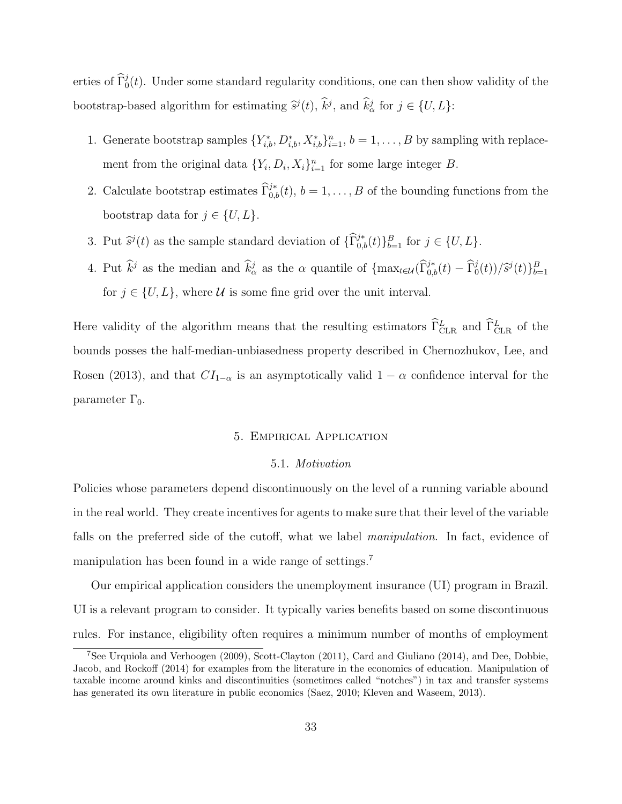erties of  $\widehat{\Gamma}_0^j(t)$ . Under some standard regularity conditions, one can then show validity of the bootstrap-based algorithm for estimating  $\hat{s}^j(t)$ ,  $\hat{k}^j$ , and  $\hat{k}^j_\alpha$  for  $j \in \{U, L\}$ :

- 1. Generate bootstrap samples  $\{Y_{i,b}^*, D_{i,b}^*, X_{i,b}^*\}_{i=1}^n$ ,  $b = 1, \ldots, B$  by sampling with replacement from the original data  $\{Y_i, D_i, X_i\}_{i=1}^n$  for some large integer B.
- 2. Calculate bootstrap estimates  $\hat{\Gamma}_{0,b}^{j*}(t)$ ,  $b = 1, \ldots, B$  of the bounding functions from the bootstrap data for  $j \in \{U, L\}.$
- 3. Put  $\hat{s}^j(t)$  as the sample standard deviation of  $\{\widehat{\Gamma}_{0,b}^{j*}(t)\}_{b=1}^B$  for  $j \in \{U, L\}$ .
- 4. Put  $\hat{k}^j$  as the median and  $\hat{k}^j_\alpha$  as the  $\alpha$  quantile of  $\{\max_{t\in\mathcal{U}}(\hat{\Gamma}^{j*}_{0,b}(t) \hat{\Gamma}^{j}_{0}(t))/\hat{s}^j(t)\}_{b=1}^B$ for  $j \in \{U, L\}$ , where U is some fine grid over the unit interval.

Here validity of the algorithm means that the resulting estimators  $\hat{\Gamma}^L_{\text{CLR}}$  and  $\hat{\Gamma}^L_{\text{CLR}}$  of the bounds posses the half-median-unbiasedness property described in Chernozhukov, Lee, and Rosen (2013), and that  $CI_{1-\alpha}$  is an asymptotically valid  $1-\alpha$  confidence interval for the parameter  $\Gamma_0$ .

#### 5. Empirical Application

#### 5.1. Motivation

Policies whose parameters depend discontinuously on the level of a running variable abound in the real world. They create incentives for agents to make sure that their level of the variable falls on the preferred side of the cutoff, what we label manipulation. In fact, evidence of manipulation has been found in a wide range of settings.<sup>7</sup>

Our empirical application considers the unemployment insurance (UI) program in Brazil. UI is a relevant program to consider. It typically varies benefits based on some discontinuous rules. For instance, eligibility often requires a minimum number of months of employment

<sup>7</sup>See Urquiola and Verhoogen (2009), Scott-Clayton (2011), Card and Giuliano (2014), and Dee, Dobbie, Jacob, and Rockoff (2014) for examples from the literature in the economics of education. Manipulation of taxable income around kinks and discontinuities (sometimes called "notches") in tax and transfer systems has generated its own literature in public economics (Saez, 2010; Kleven and Waseem, 2013).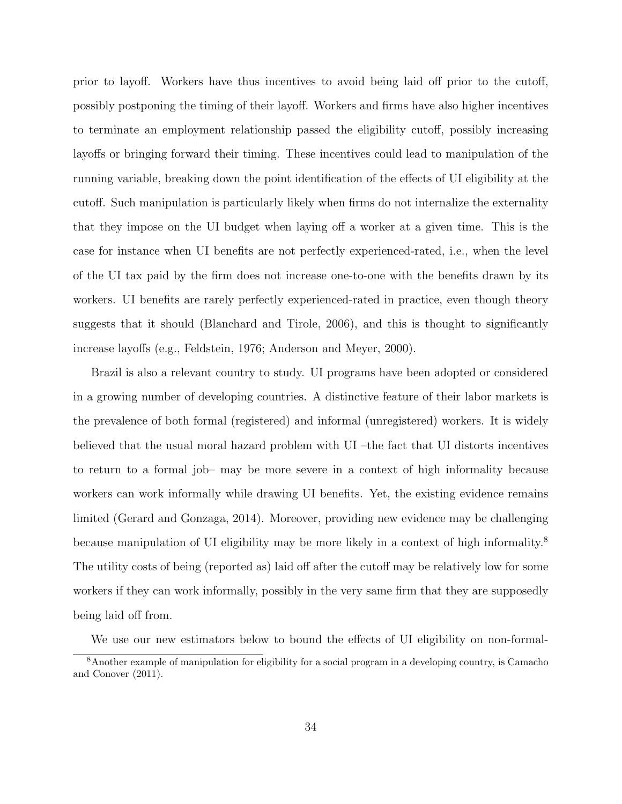prior to layoff. Workers have thus incentives to avoid being laid off prior to the cutoff, possibly postponing the timing of their layoff. Workers and firms have also higher incentives to terminate an employment relationship passed the eligibility cutoff, possibly increasing layoffs or bringing forward their timing. These incentives could lead to manipulation of the running variable, breaking down the point identification of the effects of UI eligibility at the cutoff. Such manipulation is particularly likely when firms do not internalize the externality that they impose on the UI budget when laying off a worker at a given time. This is the case for instance when UI benefits are not perfectly experienced-rated, i.e., when the level of the UI tax paid by the firm does not increase one-to-one with the benefits drawn by its workers. UI benefits are rarely perfectly experienced-rated in practice, even though theory suggests that it should (Blanchard and Tirole, 2006), and this is thought to significantly increase layoffs (e.g., Feldstein, 1976; Anderson and Meyer, 2000).

Brazil is also a relevant country to study. UI programs have been adopted or considered in a growing number of developing countries. A distinctive feature of their labor markets is the prevalence of both formal (registered) and informal (unregistered) workers. It is widely believed that the usual moral hazard problem with UI –the fact that UI distorts incentives to return to a formal job– may be more severe in a context of high informality because workers can work informally while drawing UI benefits. Yet, the existing evidence remains limited (Gerard and Gonzaga, 2014). Moreover, providing new evidence may be challenging because manipulation of UI eligibility may be more likely in a context of high informality.<sup>8</sup> The utility costs of being (reported as) laid off after the cutoff may be relatively low for some workers if they can work informally, possibly in the very same firm that they are supposedly being laid off from.

We use our new estimators below to bound the effects of UI eligibility on non-formal-

<sup>8</sup>Another example of manipulation for eligibility for a social program in a developing country, is Camacho and Conover (2011).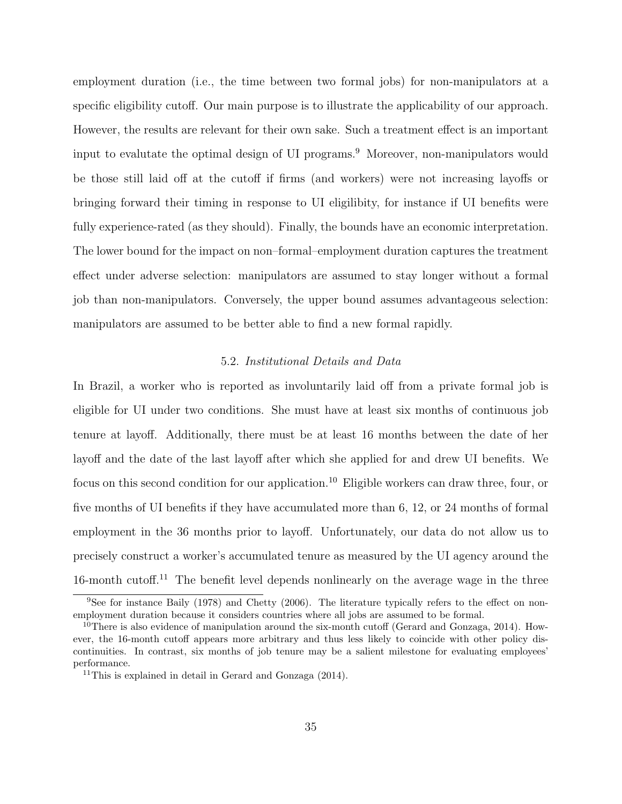employment duration (i.e., the time between two formal jobs) for non-manipulators at a specific eligibility cutoff. Our main purpose is to illustrate the applicability of our approach. However, the results are relevant for their own sake. Such a treatment effect is an important input to evalutate the optimal design of UI programs.<sup>9</sup> Moreover, non-manipulators would be those still laid off at the cutoff if firms (and workers) were not increasing layoffs or bringing forward their timing in response to UI eligilibity, for instance if UI benefits were fully experience-rated (as they should). Finally, the bounds have an economic interpretation. The lower bound for the impact on non–formal–employment duration captures the treatment effect under adverse selection: manipulators are assumed to stay longer without a formal job than non-manipulators. Conversely, the upper bound assumes advantageous selection: manipulators are assumed to be better able to find a new formal rapidly.

#### 5.2. Institutional Details and Data

In Brazil, a worker who is reported as involuntarily laid off from a private formal job is eligible for UI under two conditions. She must have at least six months of continuous job tenure at layoff. Additionally, there must be at least 16 months between the date of her layoff and the date of the last layoff after which she applied for and drew UI benefits. We focus on this second condition for our application.<sup>10</sup> Eligible workers can draw three, four, or five months of UI benefits if they have accumulated more than 6, 12, or 24 months of formal employment in the 36 months prior to layoff. Unfortunately, our data do not allow us to precisely construct a worker's accumulated tenure as measured by the UI agency around the 16-month cutoff.<sup>11</sup> The benefit level depends nonlinearly on the average wage in the three

<sup>9</sup>See for instance Baily (1978) and Chetty (2006). The literature typically refers to the effect on nonemployment duration because it considers countries where all jobs are assumed to be formal.

<sup>&</sup>lt;sup>10</sup>There is also evidence of manipulation around the six-month cutoff (Gerard and Gonzaga, 2014). However, the 16-month cutoff appears more arbitrary and thus less likely to coincide with other policy discontinuities. In contrast, six months of job tenure may be a salient milestone for evaluating employees' performance.

<sup>11</sup>This is explained in detail in Gerard and Gonzaga (2014).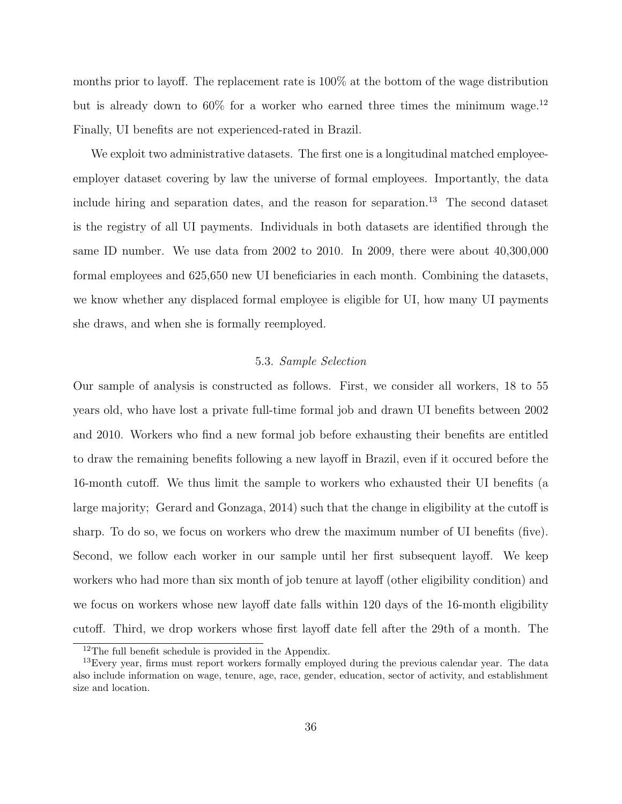months prior to layoff. The replacement rate is 100% at the bottom of the wage distribution but is already down to  $60\%$  for a worker who earned three times the minimum wage.<sup>12</sup> Finally, UI benefits are not experienced-rated in Brazil.

We exploit two administrative datasets. The first one is a longitudinal matched employeeemployer dataset covering by law the universe of formal employees. Importantly, the data include hiring and separation dates, and the reason for separation.<sup>13</sup> The second dataset is the registry of all UI payments. Individuals in both datasets are identified through the same ID number. We use data from 2002 to 2010. In 2009, there were about 40,300,000 formal employees and 625,650 new UI beneficiaries in each month. Combining the datasets, we know whether any displaced formal employee is eligible for UI, how many UI payments she draws, and when she is formally reemployed.

#### 5.3. Sample Selection

Our sample of analysis is constructed as follows. First, we consider all workers, 18 to 55 years old, who have lost a private full-time formal job and drawn UI benefits between 2002 and 2010. Workers who find a new formal job before exhausting their benefits are entitled to draw the remaining benefits following a new layoff in Brazil, even if it occured before the 16-month cutoff. We thus limit the sample to workers who exhausted their UI benefits (a large majority; Gerard and Gonzaga, 2014) such that the change in eligibility at the cutoff is sharp. To do so, we focus on workers who drew the maximum number of UI benefits (five). Second, we follow each worker in our sample until her first subsequent layoff. We keep workers who had more than six month of job tenure at layoff (other eligibility condition) and we focus on workers whose new layoff date falls within 120 days of the 16-month eligibility cutoff. Third, we drop workers whose first layoff date fell after the 29th of a month. The

<sup>12</sup>The full benefit schedule is provided in the Appendix.

<sup>&</sup>lt;sup>13</sup>Every year, firms must report workers formally employed during the previous calendar year. The data also include information on wage, tenure, age, race, gender, education, sector of activity, and establishment size and location.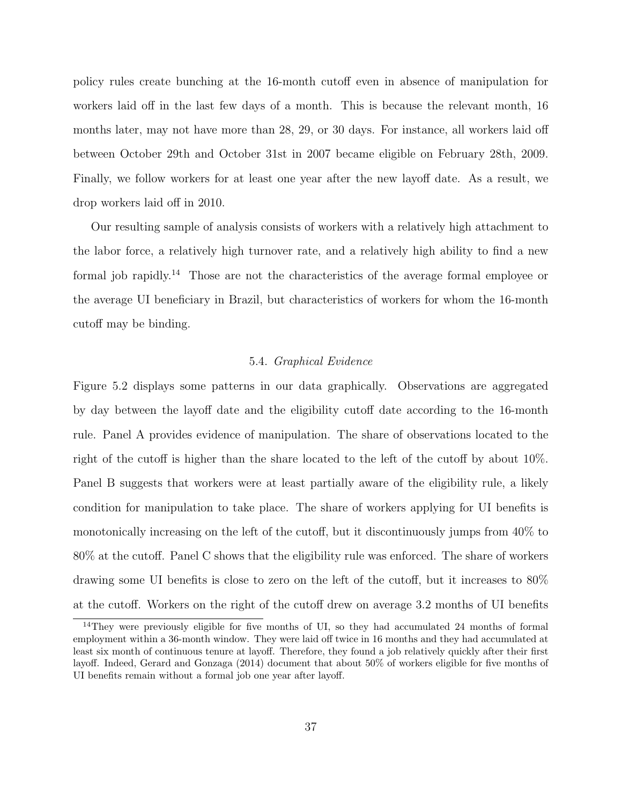policy rules create bunching at the 16-month cutoff even in absence of manipulation for workers laid off in the last few days of a month. This is because the relevant month, 16 months later, may not have more than 28, 29, or 30 days. For instance, all workers laid off between October 29th and October 31st in 2007 became eligible on February 28th, 2009. Finally, we follow workers for at least one year after the new layoff date. As a result, we drop workers laid off in 2010.

Our resulting sample of analysis consists of workers with a relatively high attachment to the labor force, a relatively high turnover rate, and a relatively high ability to find a new formal job rapidly.<sup>14</sup> Those are not the characteristics of the average formal employee or the average UI beneficiary in Brazil, but characteristics of workers for whom the 16-month cutoff may be binding.

### 5.4. Graphical Evidence

Figure 5.2 displays some patterns in our data graphically. Observations are aggregated by day between the layoff date and the eligibility cutoff date according to the 16-month rule. Panel A provides evidence of manipulation. The share of observations located to the right of the cutoff is higher than the share located to the left of the cutoff by about 10%. Panel B suggests that workers were at least partially aware of the eligibility rule, a likely condition for manipulation to take place. The share of workers applying for UI benefits is monotonically increasing on the left of the cutoff, but it discontinuously jumps from 40% to 80% at the cutoff. Panel C shows that the eligibility rule was enforced. The share of workers drawing some UI benefits is close to zero on the left of the cutoff, but it increases to 80% at the cutoff. Workers on the right of the cutoff drew on average 3.2 months of UI benefits

<sup>&</sup>lt;sup>14</sup>They were previously eligible for five months of UI, so they had accumulated 24 months of formal employment within a 36-month window. They were laid off twice in 16 months and they had accumulated at least six month of continuous tenure at layoff. Therefore, they found a job relatively quickly after their first layoff. Indeed, Gerard and Gonzaga (2014) document that about 50% of workers eligible for five months of UI benefits remain without a formal job one year after layoff.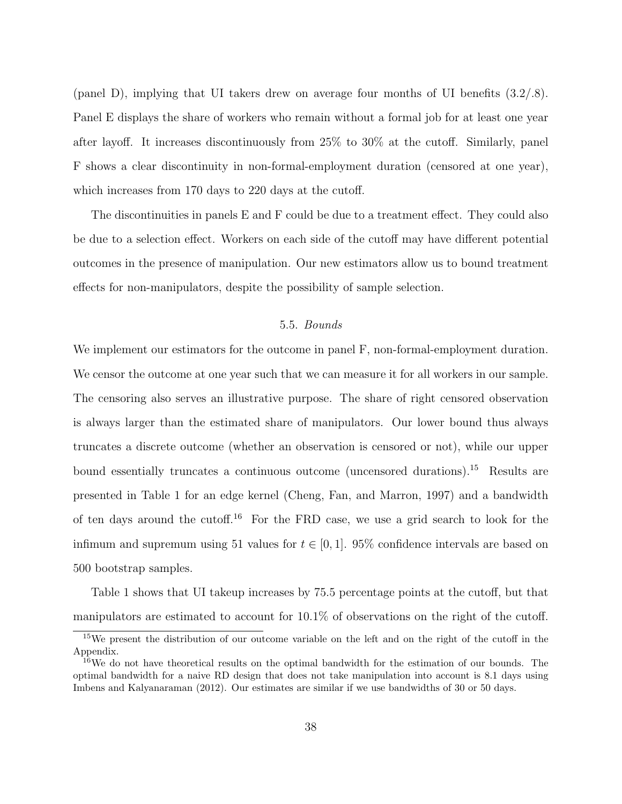(panel D), implying that UI takers drew on average four months of UI benefits (3.2/.8). Panel E displays the share of workers who remain without a formal job for at least one year after layoff. It increases discontinuously from 25% to 30% at the cutoff. Similarly, panel F shows a clear discontinuity in non-formal-employment duration (censored at one year), which increases from 170 days to 220 days at the cutoff.

The discontinuities in panels E and F could be due to a treatment effect. They could also be due to a selection effect. Workers on each side of the cutoff may have different potential outcomes in the presence of manipulation. Our new estimators allow us to bound treatment effects for non-manipulators, despite the possibility of sample selection.

# 5.5. Bounds

We implement our estimators for the outcome in panel F, non-formal-employment duration. We censor the outcome at one year such that we can measure it for all workers in our sample. The censoring also serves an illustrative purpose. The share of right censored observation is always larger than the estimated share of manipulators. Our lower bound thus always truncates a discrete outcome (whether an observation is censored or not), while our upper bound essentially truncates a continuous outcome (uncensored durations).<sup>15</sup> Results are presented in Table 1 for an edge kernel (Cheng, Fan, and Marron, 1997) and a bandwidth of ten days around the cutoff.<sup>16</sup> For the FRD case, we use a grid search to look for the infimum and supremum using 51 values for  $t \in [0, 1]$ . 95% confidence intervals are based on 500 bootstrap samples.

Table 1 shows that UI takeup increases by 75.5 percentage points at the cutoff, but that manipulators are estimated to account for 10.1% of observations on the right of the cutoff.

<sup>15</sup>We present the distribution of our outcome variable on the left and on the right of the cutoff in the Appendix.

<sup>16</sup>We do not have theoretical results on the optimal bandwidth for the estimation of our bounds. The optimal bandwidth for a naive RD design that does not take manipulation into account is 8.1 days using Imbens and Kalyanaraman (2012). Our estimates are similar if we use bandwidths of 30 or 50 days.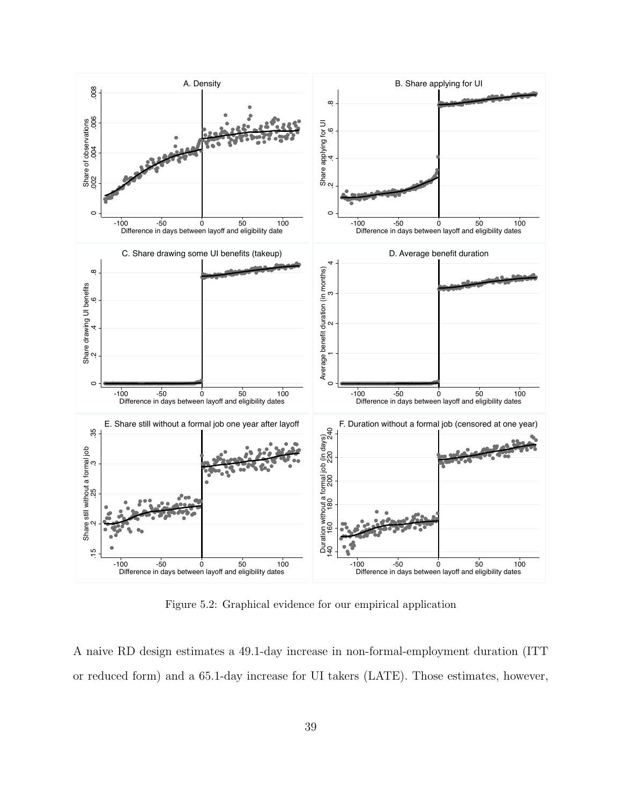

Figure 5.2: Graphical evidence for our empirical application

A naive RD design estimates a 49.1-day increase in non-formal-employment duration (ITT or reduced form) and a 65.1-day increase for UI takers (LATE). Those estimates, however,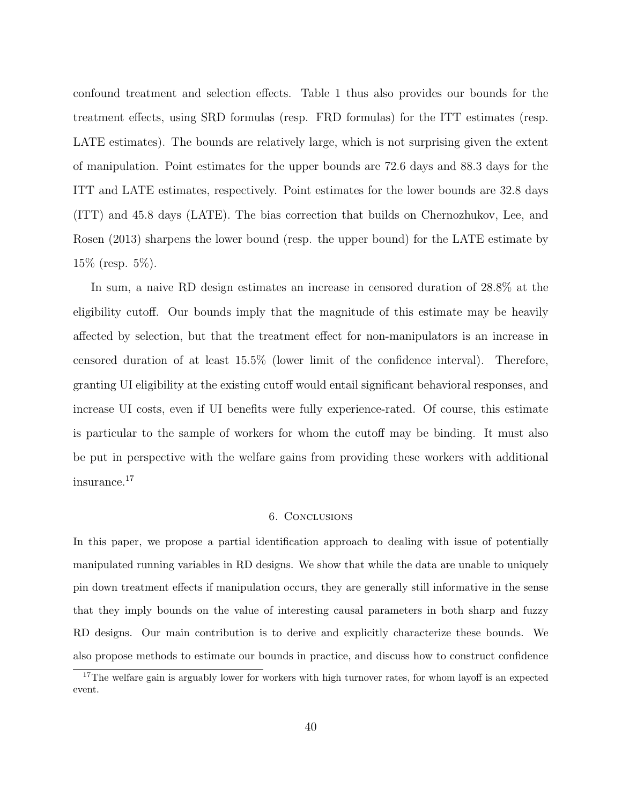confound treatment and selection effects. Table 1 thus also provides our bounds for the treatment effects, using SRD formulas (resp. FRD formulas) for the ITT estimates (resp. LATE estimates). The bounds are relatively large, which is not surprising given the extent of manipulation. Point estimates for the upper bounds are 72.6 days and 88.3 days for the ITT and LATE estimates, respectively. Point estimates for the lower bounds are 32.8 days (ITT) and 45.8 days (LATE). The bias correction that builds on Chernozhukov, Lee, and Rosen (2013) sharpens the lower bound (resp. the upper bound) for the LATE estimate by 15% (resp. 5%).

In sum, a naive RD design estimates an increase in censored duration of 28.8% at the eligibility cutoff. Our bounds imply that the magnitude of this estimate may be heavily affected by selection, but that the treatment effect for non-manipulators is an increase in censored duration of at least 15.5% (lower limit of the confidence interval). Therefore, granting UI eligibility at the existing cutoff would entail significant behavioral responses, and increase UI costs, even if UI benefits were fully experience-rated. Of course, this estimate is particular to the sample of workers for whom the cutoff may be binding. It must also be put in perspective with the welfare gains from providing these workers with additional insurance.<sup>17</sup>

#### 6. Conclusions

In this paper, we propose a partial identification approach to dealing with issue of potentially manipulated running variables in RD designs. We show that while the data are unable to uniquely pin down treatment effects if manipulation occurs, they are generally still informative in the sense that they imply bounds on the value of interesting causal parameters in both sharp and fuzzy RD designs. Our main contribution is to derive and explicitly characterize these bounds. We also propose methods to estimate our bounds in practice, and discuss how to construct confidence

<sup>&</sup>lt;sup>17</sup>The welfare gain is arguably lower for workers with high turnover rates, for whom layoff is an expected event.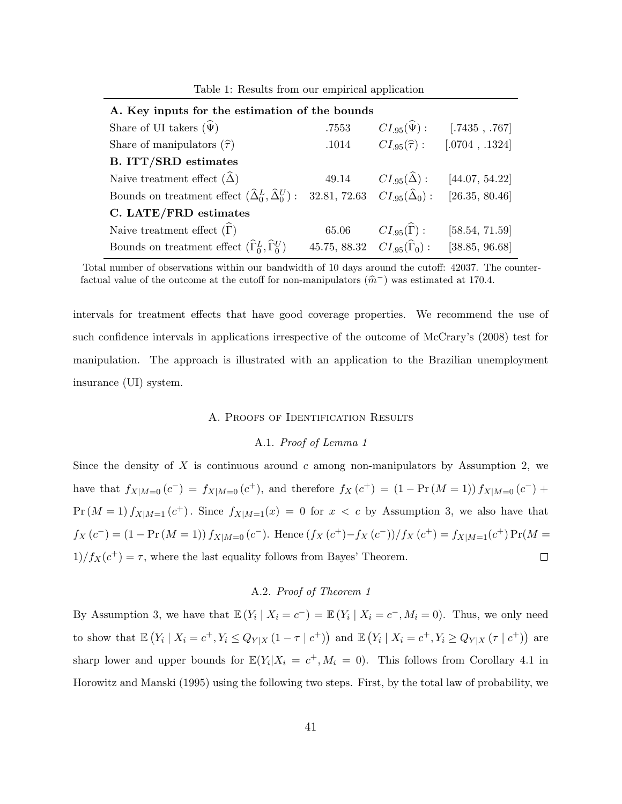| A. Key inputs for the estimation of the bounds                              |                                               |                                |                |
|-----------------------------------------------------------------------------|-----------------------------------------------|--------------------------------|----------------|
| Share of UI takers $(\widehat{\Psi})$                                       | .7553                                         | $CI_{.95}(\hat{\Psi})$ :       | [.7435, .767]  |
| Share of manipulators $(\hat{\tau})$                                        | .1014                                         | $CI_{.95}(\widehat{\tau}):$    | [.0704, .1324] |
| <b>B. ITT/SRD</b> estimates                                                 |                                               |                                |                |
| Naive treatment effect $(\widehat{\Delta})$                                 | 49.14                                         | $CI_{.95}(\widehat{\Delta})$ : | [44.07, 54.22] |
| Bounds on treatment effect $(\widehat{\Delta}_0^L, \widehat{\Delta}_0^U)$ : | 32.81, 72.63 $CI_{.95}(\widehat{\Delta}_0)$ : |                                | [26.35, 80.46] |
| C. LATE/FRD estimates                                                       |                                               |                                |                |
| Naive treatment effect $(\widehat{\Gamma})$                                 | 65.06                                         | $CI_{.95}(\widehat{\Gamma})$ : | [58.54, 71.59] |
| Bounds on treatment effect $(\widehat{\Gamma}_0^L, \widehat{\Gamma}_0^U)$   | 45.75, 88.32 $CI_{.95}(\hat{\Gamma}_0)$ :     |                                | [38.85, 96.68] |

Table 1: Results from our empirical application

Total number of observations within our bandwidth of 10 days around the cutoff: 42037. The counterfactual value of the outcome at the cutoff for non-manipulators  $(\hat{m}^-)$  was estimated at 170.4.

intervals for treatment effects that have good coverage properties. We recommend the use of such confidence intervals in applications irrespective of the outcome of McCrary's (2008) test for manipulation. The approach is illustrated with an application to the Brazilian unemployment insurance (UI) system.

#### A. Proofs of Identification Results

#### A.1. Proof of Lemma 1

Since the density of  $X$  is continuous around  $c$  among non-manipulators by Assumption 2, we have that  $f_{X|M=0}(c^-) = f_{X|M=0}(c^+),$  and therefore  $f_X(c^+) = (1 - \Pr(M=1)) f_{X|M=0}(c^-) +$  $Pr(M=1) f_{X|M=1}(c^+)$ . Since  $f_{X|M=1}(x) = 0$  for  $x < c$  by Assumption 3, we also have that  $f_X(c^-) = (1 - \Pr(M = 1)) f_{X|M=0}(c^-)$ . Hence  $(f_X(c^+) - f_X(c^-))/f_X(c^+) = f_{X|M=1}(c^+) \Pr(M =$  $1/f_X(c^+) = \tau$ , where the last equality follows from Bayes' Theorem.  $\Box$ 

### A.2. Proof of Theorem 1

By Assumption 3, we have that  $\mathbb{E}(Y_i \mid X_i = c^-) = \mathbb{E}(Y_i \mid X_i = c^-, M_i = 0)$ . Thus, we only need to show that  $\mathbb{E}(Y_i | X_i = c^+, Y_i \le Q_{Y|X} (1 - \tau | c^+))$  and  $\mathbb{E}(Y_i | X_i = c^+, Y_i \ge Q_{Y|X} (\tau | c^+))$  are sharp lower and upper bounds for  $\mathbb{E}(Y_i|X_i = c^+, M_i = 0)$ . This follows from Corollary 4.1 in Horowitz and Manski (1995) using the following two steps. First, by the total law of probability, we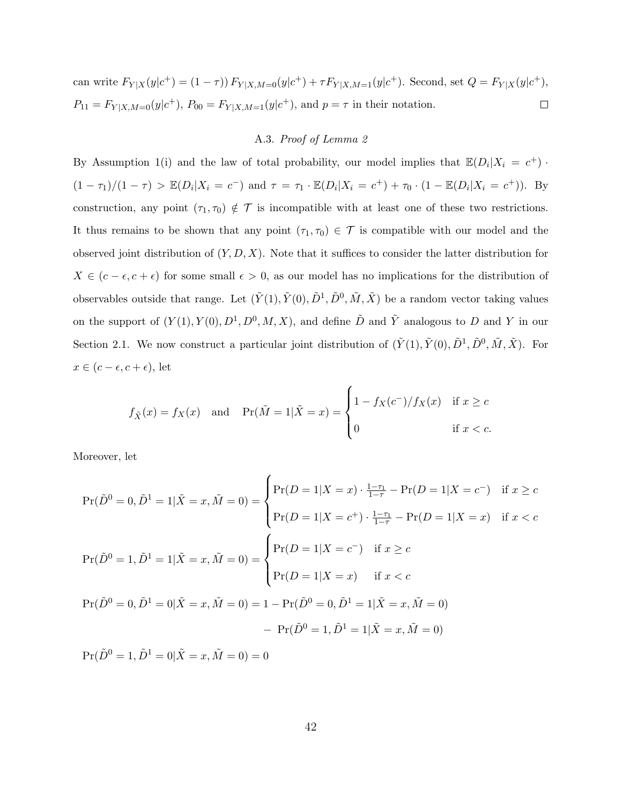can write  $F_{Y|X}(y|c^+) = (1 - \tau) F_{Y|X,M=0}(y|c^+) + \tau F_{Y|X,M=1}(y|c^+).$  Second, set  $Q = F_{Y|X}(y|c^+),$  $P_{11} = F_{Y|X,M=0}(y|c^+), P_{00} = F_{Y|X,M=1}(y|c^+), \text{ and } p = \tau \text{ in their notation.}$  $\Box$ 

#### A.3. Proof of Lemma 2

By Assumption 1(i) and the law of total probability, our model implies that  $\mathbb{E}(D_i|X_i = c^+)$ .  $(1 - \tau_1)/(1 - \tau) > \mathbb{E}(D_i | X_i = c^-)$  and  $\tau = \tau_1 \cdot \mathbb{E}(D_i | X_i = c^+) + \tau_0 \cdot (1 - \mathbb{E}(D_i | X_i = c^+))$ . By construction, any point  $(\tau_1, \tau_0) \notin \mathcal{T}$  is incompatible with at least one of these two restrictions. It thus remains to be shown that any point  $(\tau_1, \tau_0) \in \mathcal{T}$  is compatible with our model and the observed joint distribution of  $(Y, D, X)$ . Note that it suffices to consider the latter distribution for  $X \in (c - \epsilon, c + \epsilon)$  for some small  $\epsilon > 0$ , as our model has no implications for the distribution of observables outside that range. Let  $(\tilde{Y}(1), \tilde{Y}(0), \tilde{D}^1, \tilde{D}^0, \tilde{M}, \tilde{X})$  be a random vector taking values on the support of  $(Y(1), Y(0), D<sup>1</sup>, D<sup>0</sup>, M, X)$ , and define  $\tilde{D}$  and  $\tilde{Y}$  analogous to D and Y in our Section 2.1. We now construct a particular joint distribution of  $(\tilde{Y}(1), \tilde{Y}(0), \tilde{D}^1, \tilde{D}^0, \tilde{M}, \tilde{X})$ . For  $x \in (c - \epsilon, c + \epsilon)$ , let

$$
f_{\tilde{X}}(x) = f_X(x) \quad \text{and} \quad \Pr(\tilde{M} = 1 | \tilde{X} = x) = \begin{cases} 1 - f_X(c^-) / f_X(x) & \text{if } x \ge c \\ 0 & \text{if } x < c. \end{cases}
$$

Moreover, let

$$
\Pr(\tilde{D}^0 = 0, \tilde{D}^1 = 1 | \tilde{X} = x, \tilde{M} = 0) = \begin{cases} \Pr(D = 1 | X = x) \cdot \frac{1 - \tau_1}{1 - \tau} - \Pr(D = 1 | X = c^{-}) & \text{if } x \ge c \\ \Pr(D = 1 | X = c^{+}) \cdot \frac{1 - \tau_1}{1 - \tau} - \Pr(D = 1 | X = x) & \text{if } x < c \end{cases}
$$

$$
\Pr(\tilde{D}^0 = 1, \tilde{D}^1 = 1 | \tilde{X} = x, \tilde{M} = 0) = \begin{cases} \Pr(D = 1 | X = c^{-}) & \text{if } x \ge c \\ \Pr(D = 1 | X = x) & \text{if } x < c \end{cases}
$$

$$
\Pr(\tilde{D}^0 = 0, \tilde{D}^1 = 0 | \tilde{X} = x, \tilde{M} = 0) = 1 - \Pr(\tilde{D}^0 = 0, \tilde{D}^1 = 1 | \tilde{X} = x, \tilde{M} = 0)
$$

$$
-\Pr(\tilde{D}^0 = 1, \tilde{D}^1 = 1 | \tilde{X} = x, \tilde{M} = 0)
$$

 $Pr(\tilde{D}^0 = 1, \tilde{D}^1 = 0 | \tilde{X} = x, \tilde{M} = 0) = 0$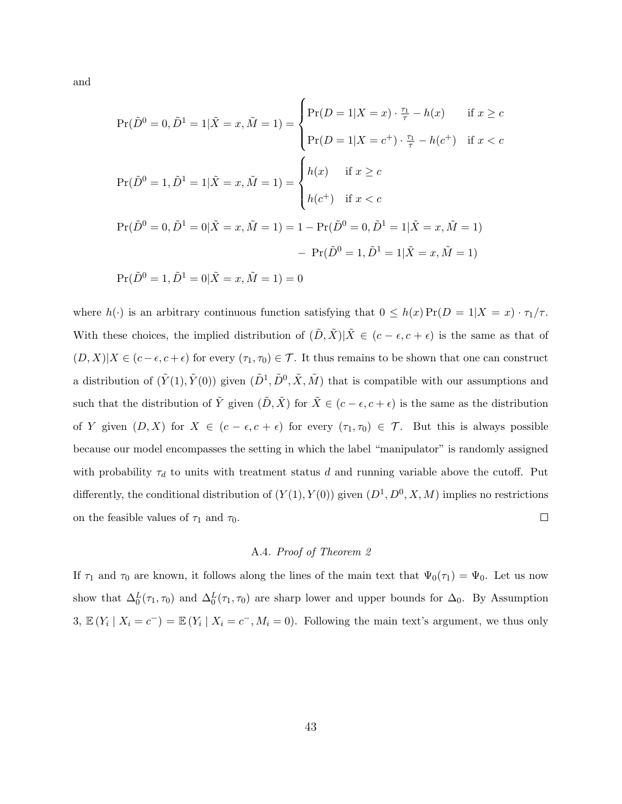and

$$
\Pr(\tilde{D}^0 = 0, \tilde{D}^1 = 1 | \tilde{X} = x, \tilde{M} = 1) = \begin{cases} \Pr(D = 1 | X = x) \cdot \frac{\tau_1}{\tau} - h(x) & \text{if } x \ge c \\ \Pr(D = 1 | X = c^+) \cdot \frac{\tau_1}{\tau} - h(c^+) & \text{if } x < c \end{cases}
$$
\n
$$
\Pr(\tilde{D}^0 = 1, \tilde{D}^1 = 1 | \tilde{X} = x, \tilde{M} = 1) = \begin{cases} h(x) & \text{if } x \ge c \\ h(c^+) & \text{if } x < c \end{cases}
$$
\n
$$
\Pr(\tilde{D}^0 = 0, \tilde{D}^1 = 0 | \tilde{X} = x, \tilde{M} = 1) = 1 - \Pr(\tilde{D}^0 = 0, \tilde{D}^1 = 1 | \tilde{X} = x, \tilde{M} = 1)
$$
\n
$$
-\Pr(\tilde{D}^0 = 1, \tilde{D}^1 = 1 | \tilde{X} = x, \tilde{M} = 1)
$$
\n
$$
\Pr(\tilde{D}^0 = 1, \tilde{D}^1 = 0 | \tilde{X} = x, \tilde{M} = 1) = 0
$$

where  $h(\cdot)$  is an arbitrary continuous function satisfying that  $0 \leq h(x) \Pr(D = 1 | X = x) \cdot \tau_1 / \tau$ . With these choices, the implied distribution of  $(\tilde{D}, \tilde{X})|\tilde{X} \in (c - \epsilon, c + \epsilon)$  is the same as that of  $(D, X)|X \in (c - \epsilon, c + \epsilon)$  for every  $(\tau_1, \tau_0) \in \mathcal{T}$ . It thus remains to be shown that one can construct a distribution of  $(\tilde{Y}(1), \tilde{Y}(0))$  given  $(\tilde{D}^1, \tilde{D}^0, \tilde{X}, \tilde{M})$  that is compatible with our assumptions and such that the distribution of  $\tilde{Y}$  given  $(\tilde{D}, \tilde{X})$  for  $\tilde{X} \in (c - \epsilon, c + \epsilon)$  is the same as the distribution of Y given  $(D, X)$  for  $X \in (c - \epsilon, c + \epsilon)$  for every  $(\tau_1, \tau_0) \in \mathcal{T}$ . But this is always possible because our model encompasses the setting in which the label "manipulator" is randomly assigned with probability  $\tau_d$  to units with treatment status d and running variable above the cutoff. Put differently, the conditional distribution of  $(Y(1), Y(0))$  given  $(D^1, D^0, X, M)$  implies no restrictions on the feasible values of  $\tau_1$  and  $\tau_0$ .  $\Box$ 

#### A.4. Proof of Theorem 2

If  $\tau_1$  and  $\tau_0$  are known, it follows along the lines of the main text that  $\Psi_0(\tau_1) = \Psi_0$ . Let us now show that  $\Delta_0^L(\tau_1, \tau_0)$  and  $\Delta_0^L(\tau_1, \tau_0)$  are sharp lower and upper bounds for  $\Delta_0$ . By Assumption 3,  $\mathbb{E}(Y_i | X_i = c^-) = \mathbb{E}(Y_i | X_i = c^-, M_i = 0)$ . Following the main text's argument, we thus only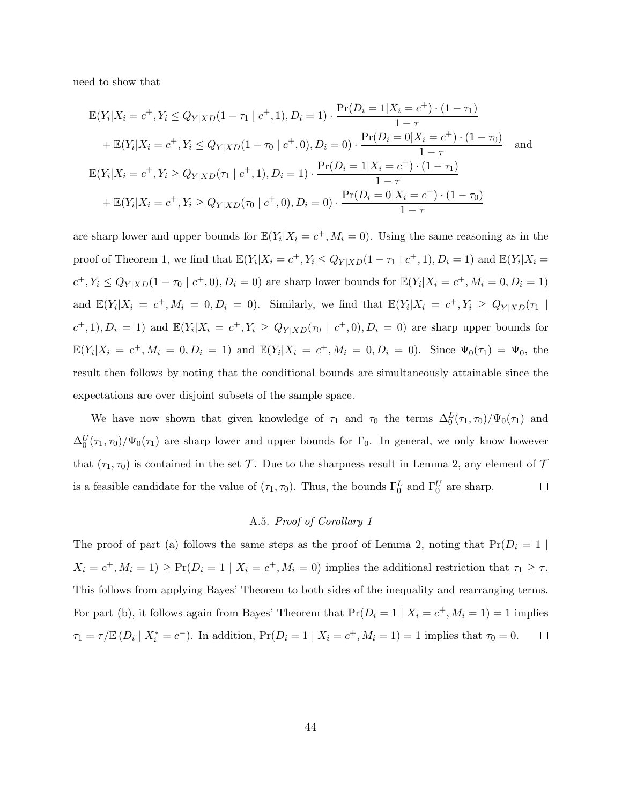need to show that

$$
\mathbb{E}(Y_i|X_i = c^+, Y_i \le Q_{Y|XD}(1 - \tau_1 \mid c^+, 1), D_i = 1) \cdot \frac{\Pr(D_i = 1 | X_i = c^+) \cdot (1 - \tau_1)}{1 - \tau} \n+ \mathbb{E}(Y_i | X_i = c^+, Y_i \le Q_{Y|XD}(1 - \tau_0 \mid c^+, 0), D_i = 0) \cdot \frac{\Pr(D_i = 0 | X_i = c^+) \cdot (1 - \tau_0)}{1 - \tau} \n\mathbb{E}(Y_i | X_i = c^+, Y_i \ge Q_{Y|XD}(\tau_1 \mid c^+, 1), D_i = 1) \cdot \frac{\Pr(D_i = 1 | X_i = c^+) \cdot (1 - \tau_1)}{1 - \tau} \n+ \mathbb{E}(Y_i | X_i = c^+, Y_i \ge Q_{Y|XD}(\tau_0 \mid c^+, 0), D_i = 0) \cdot \frac{\Pr(D_i = 0 | X_i = c^+) \cdot (1 - \tau_0)}{1 - \tau}
$$

are sharp lower and upper bounds for  $\mathbb{E}(Y_i|X_i = c^+, M_i = 0)$ . Using the same reasoning as in the proof of Theorem 1, we find that  $\mathbb{E}(Y_i|X_i = c^+, Y_i \le Q_{Y|XD}(1 - \tau_1 \mid c^+, 1), D_i = 1)$  and  $\mathbb{E}(Y_i|X_i = c^+, Y_i \le Q_{Y|XD}(1 - \tau_1 \mid c^+, 1), D_i = 1)$  $c^+, Y_i \leq Q_{Y|XD}(1-\tau_0 \mid c^+,0), D_i = 0)$  are sharp lower bounds for  $\mathbb{E}(Y_i | X_i = c^+, M_i = 0, D_i = 1)$ and  $\mathbb{E}(Y_i|X_i = c^+, M_i = 0, D_i = 0)$ . Similarly, we find that  $\mathbb{E}(Y_i|X_i = c^+, Y_i \ge Q_{Y|XD}(\tau_1 | \tau_1)$  $(c^+,1), D_i = 1$  and  $\mathbb{E}(Y_i | X_i = c^+, Y_i \ge Q_{Y|XD}(\tau_0 | c^+, 0), D_i = 0)$  are sharp upper bounds for  $\mathbb{E}(Y_i|X_i = c^+, M_i = 0, D_i = 1)$  and  $\mathbb{E}(Y_i|X_i = c^+, M_i = 0, D_i = 0)$ . Since  $\Psi_0(\tau_1) = \Psi_0$ , the result then follows by noting that the conditional bounds are simultaneously attainable since the expectations are over disjoint subsets of the sample space.

We have now shown that given knowledge of  $\tau_1$  and  $\tau_0$  the terms  $\Delta_0^L(\tau_1, \tau_0)/\Psi_0(\tau_1)$  and  $\Delta_0^U(\tau_1,\tau_0)/\Psi_0(\tau_1)$  are sharp lower and upper bounds for  $\Gamma_0$ . In general, we only know however that  $(\tau_1, \tau_0)$  is contained in the set T. Due to the sharpness result in Lemma 2, any element of T is a feasible candidate for the value of  $(\tau_1, \tau_0)$ . Thus, the bounds  $\Gamma_0^L$  and  $\Gamma_0^U$  are sharp.  $\Box$ 

# A.5. Proof of Corollary 1

The proof of part (a) follows the same steps as the proof of Lemma 2, noting that  $Pr(D_i = 1 |$  $X_i = c^+, M_i = 1$   $\geq$  Pr( $D_i = 1 \mid X_i = c^+, M_i = 0$ ) implies the additional restriction that  $\tau_1 \geq \tau$ . This follows from applying Bayes' Theorem to both sides of the inequality and rearranging terms. For part (b), it follows again from Bayes' Theorem that  $Pr(D_i = 1 | X_i = c^+, M_i = 1) = 1$  implies  $\tau_1 = \tau / \mathbb{E} (D_i | X_i^* = c^-)$ . In addition,  $Pr(D_i = 1 | X_i = c^+, M_i = 1) = 1$  implies that  $\tau_0 = 0$ .  $\Box$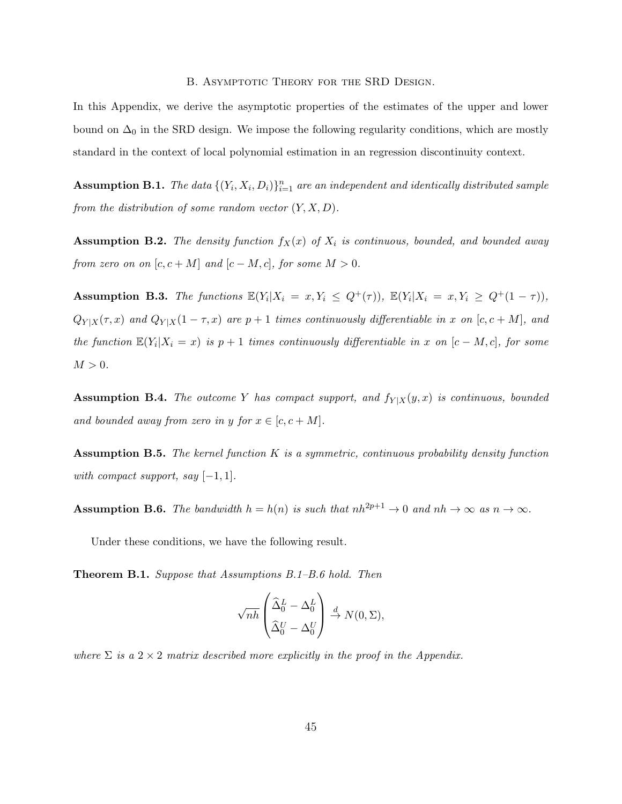B. Asymptotic Theory for the SRD Design.

In this Appendix, we derive the asymptotic properties of the estimates of the upper and lower bound on  $\Delta_0$  in the SRD design. We impose the following regularity conditions, which are mostly standard in the context of local polynomial estimation in an regression discontinuity context.

**Assumption B.1.** The data  $\{(Y_i, X_i, D_i)\}_{i=1}^n$  are an independent and identically distributed sample from the distribution of some random vector  $(Y, X, D)$ .

Assumption B.2. The density function  $f_X(x)$  of  $X_i$  is continuous, bounded, and bounded away from zero on on  $[c, c + M]$  and  $[c - M, c]$ , for some  $M > 0$ .

**Assumption B.3.** The functions  $\mathbb{E}(Y_i | X_i = x, Y_i \leq Q^+(\tau))$ ,  $\mathbb{E}(Y_i | X_i = x, Y_i \geq Q^+(1-\tau))$ ,  $Q_{Y|X}(\tau, x)$  and  $Q_{Y|X}(1 - \tau, x)$  are  $p + 1$  times continuously differentiable in x on  $[c, c + M]$ , and the function  $\mathbb{E}(Y_i|X_i=x)$  is  $p+1$  times continuously differentiable in x on  $[c-M,c]$ , for some  $M > 0$ .

Assumption B.4. The outcome Y has compact support, and  $f_{Y|X}(y, x)$  is continuous, bounded and bounded away from zero in y for  $x \in [c, c + M]$ .

**Assumption B.5.** The kernel function  $K$  is a symmetric, continuous probability density function with compact support, say  $[-1, 1]$ .

Assumption B.6. The bandwidth  $h = h(n)$  is such that  $nh^{2p+1} \to 0$  and  $nh \to \infty$  as  $n \to \infty$ .

Under these conditions, we have the following result.

Theorem B.1. Suppose that Assumptions B.1–B.6 hold. Then

$$
\sqrt{nh}\left(\frac{\widehat{\Delta}_0^L-\Delta_0^L}{\widehat{\Delta}_0^U-\Delta_0^U}\right)\stackrel{d}{\to} N(0,\Sigma),
$$

where  $\Sigma$  is a  $2 \times 2$  matrix described more explicitly in the proof in the Appendix.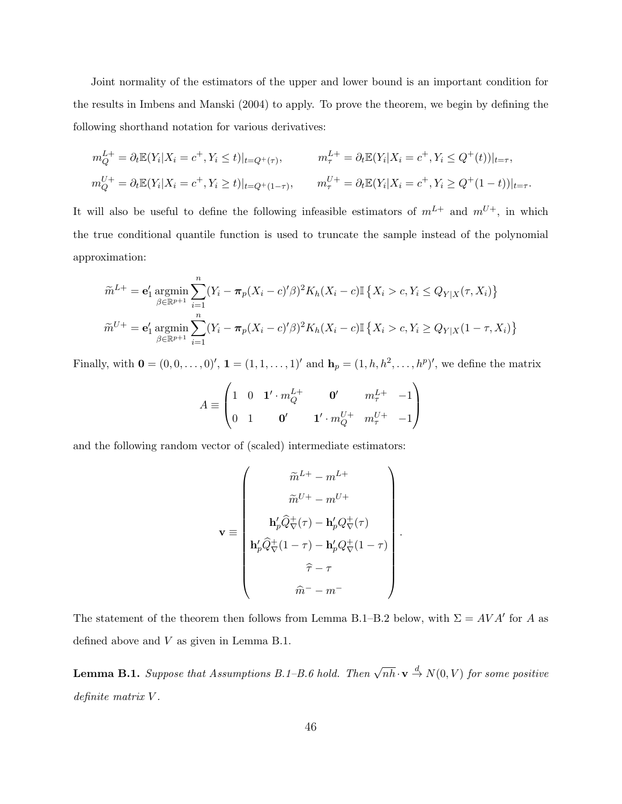Joint normality of the estimators of the upper and lower bound is an important condition for the results in Imbens and Manski (2004) to apply. To prove the theorem, we begin by defining the following shorthand notation for various derivatives:

$$
m_Q^{L+} = \partial_t \mathbb{E}(Y_i | X_i = c^+, Y_i \le t)|_{t = Q^+(r)}, \qquad m_\tau^{L+} = \partial_t \mathbb{E}(Y_i | X_i = c^+, Y_i \le Q^+(t))|_{t = \tau},
$$
  

$$
m_Q^{U+} = \partial_t \mathbb{E}(Y_i | X_i = c^+, Y_i \ge t)|_{t = Q^+(1-\tau)}, \qquad m_\tau^{U+} = \partial_t \mathbb{E}(Y_i | X_i = c^+, Y_i \ge Q^+(1-t))|_{t = \tau}.
$$

It will also be useful to define the following infeasible estimators of  $m^{L+}$  and  $m^{U+}$ , in which the true conditional quantile function is used to truncate the sample instead of the polynomial approximation:

$$
\widetilde{m}^{L+} = \mathbf{e}'_1 \operatorname*{argmin}_{\beta \in \mathbb{R}^{p+1}} \sum_{i=1}^n (Y_i - \pi_p (X_i - c)' \beta)^2 K_h (X_i - c) \mathbb{I} \{ X_i > c, Y_i \le Q_{Y|X}(\tau, X_i) \}
$$
  

$$
\widetilde{m}^{U+} = \mathbf{e}'_1 \operatorname*{argmin}_{\beta \in \mathbb{R}^{p+1}} \sum_{i=1}^n (Y_i - \pi_p (X_i - c)' \beta)^2 K_h (X_i - c) \mathbb{I} \{ X_i > c, Y_i \ge Q_{Y|X} (1 - \tau, X_i) \}
$$

Finally, with  $\mathbf{0} = (0,0,\ldots,0)$ ',  $\mathbf{1} = (1,1,\ldots,1)$ ' and  $\mathbf{h}_p = (1,h,h^2,\ldots,h^p)$ ', we define the matrix

$$
A \equiv \begin{pmatrix} 1 & 0 & \mathbf{1}' \cdot m_Q^{L+} & \mathbf{0}' & m_\tau^{L+} & -1 \\ 0 & 1 & \mathbf{0}' & \mathbf{1}' \cdot m_Q^{U+} & m_\tau^{U+} & -1 \end{pmatrix}
$$

and the following random vector of (scaled) intermediate estimators:

$$
\mathbf{v} \equiv \begin{pmatrix} \tilde{m}^{L+} - m^{L+} \\ \tilde{m}^{U+} - m^{U+} \\ \mathbf{h}_p^{\prime} \hat{Q}_{\nabla}^{+}(\tau) - \mathbf{h}_p^{\prime} Q_{\nabla}^{+}(\tau) \\ \mathbf{h}_p^{\prime} \hat{Q}_{\nabla}^{+}(1-\tau) - \mathbf{h}_p^{\prime} Q_{\nabla}^{+}(1-\tau) \\ \hat{\tau} - \tau \\ \hat{m}^{-} - m^{-} \end{pmatrix}
$$

.

The statement of the theorem then follows from Lemma B.1–B.2 below, with  $\Sigma = AVA'$  for A as defined above and  $V$  as given in Lemma B.1.

**Lemma B.1.** Suppose that Assumptions B.1–B.6 hold. Then  $\sqrt{nh} \cdot \mathbf{v} \stackrel{d}{\rightarrow} N(0, V)$  for some positive definite matrix  $V$ .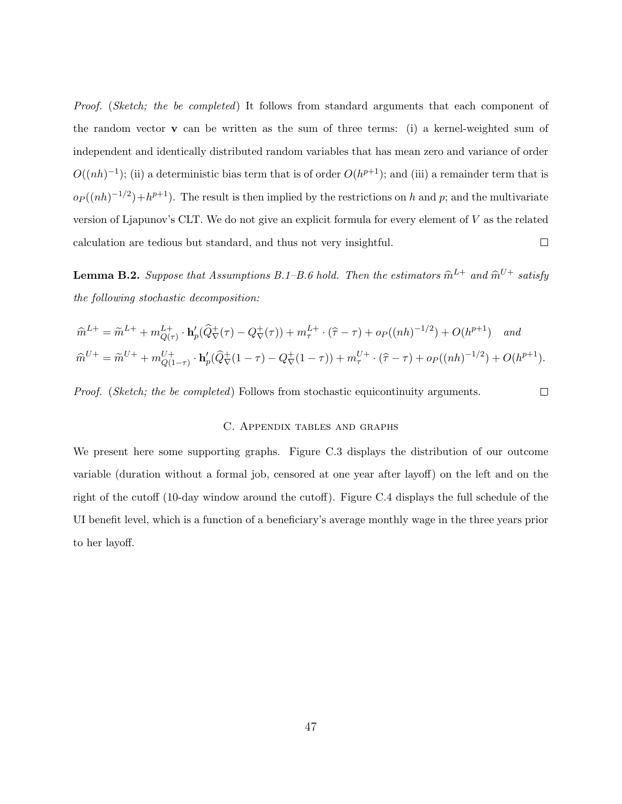Proof. (Sketch; the be completed) It follows from standard arguments that each component of the random vector v can be written as the sum of three terms: (i) a kernel-weighted sum of independent and identically distributed random variables that has mean zero and variance of order  $O((nh)^{-1})$ ; (ii) a deterministic bias term that is of order  $O(h^{p+1})$ ; and (iii) a remainder term that is  $o_P((nh)^{-1/2})+h^{p+1}$ . The result is then implied by the restrictions on h and p; and the multivariate version of Ljapunov's CLT. We do not give an explicit formula for every element of V as the related calculation are tedious but standard, and thus not very insightful.  $\Box$ 

**Lemma B.2.** Suppose that Assumptions B.1–B.6 hold. Then the estimators  $\widehat{m}^{L+}$  and  $\widehat{m}^{U+}$  satisfy the following stochastic decomposition:

$$
\hat{m}^{L+} = \tilde{m}^{L+} + m_{Q(\tau)}^{L+} \cdot \mathbf{h}_p'(\hat{Q}_{\nabla}^+(\tau) - Q_{\nabla}^+(\tau)) + m_{\tau}^{L+} \cdot (\hat{\tau} - \tau) + op((nh)^{-1/2}) + O(h^{p+1}) \quad and
$$
  

$$
\hat{m}^{U+} = \tilde{m}^{U+} + m_{Q(1-\tau)}^{U+} \cdot \mathbf{h}_p'(\hat{Q}_{\nabla}^+(1-\tau) - Q_{\nabla}^+(1-\tau)) + m_{\tau}^{U+} \cdot (\hat{\tau} - \tau) + op((nh)^{-1/2}) + O(h^{p+1}).
$$

Proof. (Sketch; the be completed) Follows from stochastic equicontinuity arguments.

#### C. Appendix tables and graphs

 $\Box$ 

We present here some supporting graphs. Figure C.3 displays the distribution of our outcome variable (duration without a formal job, censored at one year after layoff) on the left and on the right of the cutoff (10-day window around the cutoff). Figure C.4 displays the full schedule of the UI benefit level, which is a function of a beneficiary's average monthly wage in the three years prior to her layoff.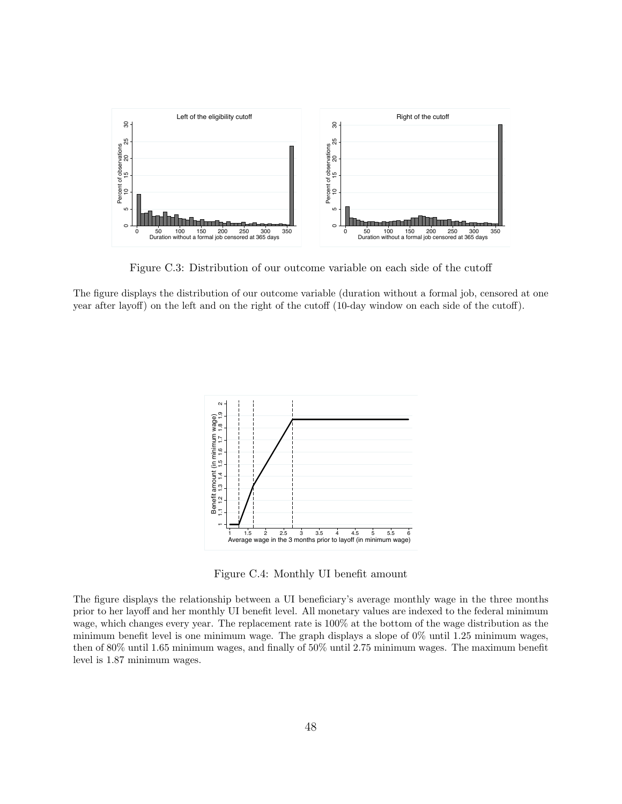

Figure C.3: Distribution of our outcome variable on each side of the cutoff

The figure displays the distribution of our outcome variable (duration without a formal job, censored at one year after layoff) on the left and on the right of the cutoff (10-day window on each side of the cutoff).



Figure C.4: Monthly UI benefit amount

The figure displays the relationship between a UI beneficiary's average monthly wage in the three months prior to her layoff and her monthly UI benefit level. All monetary values are indexed to the federal minimum wage, which changes every year. The replacement rate is 100% at the bottom of the wage distribution as the minimum benefit level is one minimum wage. The graph displays a slope of 0% until 1.25 minimum wages, then of 80% until 1.65 minimum wages, and finally of 50% until 2.75 minimum wages. The maximum benefit level is 1.87 minimum wages.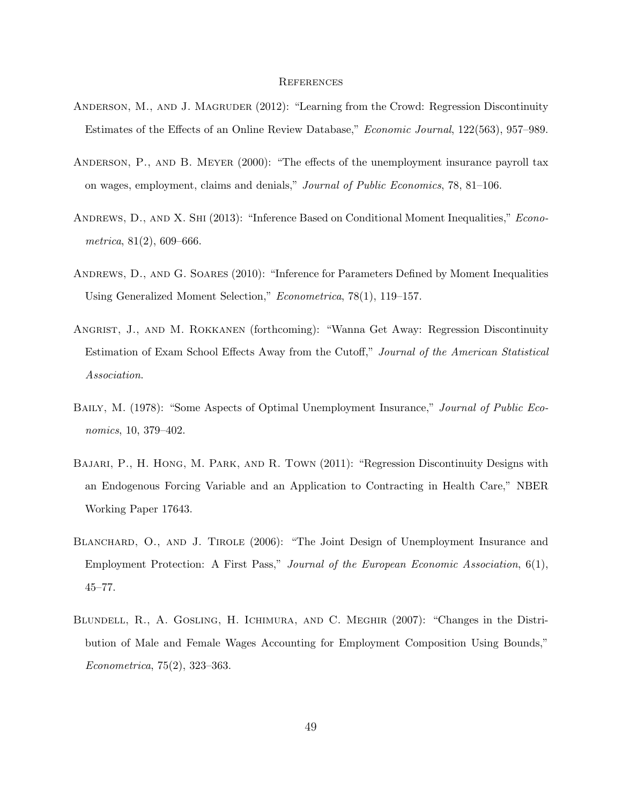#### **REFERENCES**

- ANDERSON, M., AND J. MAGRUDER (2012): "Learning from the Crowd: Regression Discontinuity Estimates of the Effects of an Online Review Database," Economic Journal, 122(563), 957–989.
- Anderson, P., and B. Meyer (2000): "The effects of the unemployment insurance payroll tax on wages, employment, claims and denials," Journal of Public Economics, 78, 81–106.
- ANDREWS, D., AND X. SHI (2013): "Inference Based on Conditional Moment Inequalities," *Econo*metrica,  $81(2)$ , 609–666.
- Andrews, D., and G. Soares (2010): "Inference for Parameters Defined by Moment Inequalities Using Generalized Moment Selection," Econometrica, 78(1), 119–157.
- Angrist, J., and M. Rokkanen (forthcoming): "Wanna Get Away: Regression Discontinuity Estimation of Exam School Effects Away from the Cutoff," Journal of the American Statistical Association.
- Baily, M. (1978): "Some Aspects of Optimal Unemployment Insurance," Journal of Public Economics, 10, 379–402.
- BAJARI, P., H. HONG, M. PARK, AND R. TOWN (2011): "Regression Discontinuity Designs with an Endogenous Forcing Variable and an Application to Contracting in Health Care," NBER Working Paper 17643.
- BLANCHARD, O., AND J. TIROLE (2006): "The Joint Design of Unemployment Insurance and Employment Protection: A First Pass," Journal of the European Economic Association, 6(1), 45–77.
- Blundell, R., A. Gosling, H. Ichimura, and C. Meghir (2007): "Changes in the Distribution of Male and Female Wages Accounting for Employment Composition Using Bounds," Econometrica, 75(2), 323–363.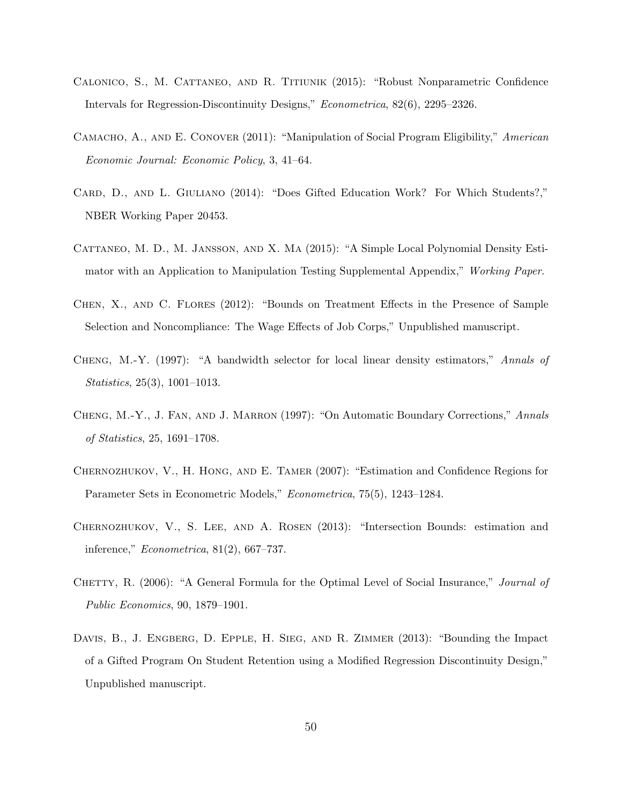- Calonico, S., M. Cattaneo, and R. Titiunik (2015): "Robust Nonparametric Confidence Intervals for Regression-Discontinuity Designs," Econometrica, 82(6), 2295–2326.
- Camacho, A., and E. Conover (2011): "Manipulation of Social Program Eligibility," American Economic Journal: Economic Policy, 3, 41–64.
- CARD, D., AND L. GIULIANO (2014): "Does Gifted Education Work? For Which Students?," NBER Working Paper 20453.
- Cattaneo, M. D., M. Jansson, and X. Ma (2015): "A Simple Local Polynomial Density Estimator with an Application to Manipulation Testing Supplemental Appendix," Working Paper.
- Chen, X., and C. Flores (2012): "Bounds on Treatment Effects in the Presence of Sample Selection and Noncompliance: The Wage Effects of Job Corps," Unpublished manuscript.
- Cheng, M.-Y. (1997): "A bandwidth selector for local linear density estimators," Annals of Statistics, 25(3), 1001–1013.
- CHENG, M.-Y., J. FAN, AND J. MARRON (1997): "On Automatic Boundary Corrections," Annals of Statistics, 25, 1691–1708.
- Chernozhukov, V., H. Hong, and E. Tamer (2007): "Estimation and Confidence Regions for Parameter Sets in Econometric Models," Econometrica, 75(5), 1243–1284.
- Chernozhukov, V., S. Lee, and A. Rosen (2013): "Intersection Bounds: estimation and inference," Econometrica, 81(2), 667–737.
- CHETTY, R. (2006): "A General Formula for the Optimal Level of Social Insurance," *Journal of* Public Economics, 90, 1879–1901.
- DAVIS, B., J. ENGBERG, D. EPPLE, H. SIEG, AND R. ZIMMER (2013): "Bounding the Impact of a Gifted Program On Student Retention using a Modified Regression Discontinuity Design," Unpublished manuscript.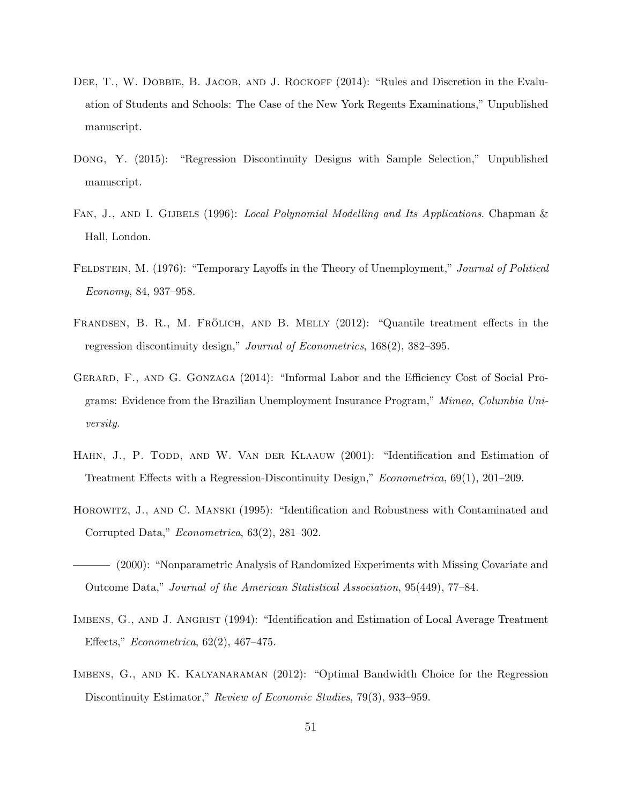- DEE, T., W. DOBBIE, B. JACOB, AND J. ROCKOFF (2014): "Rules and Discretion in the Evaluation of Students and Schools: The Case of the New York Regents Examinations," Unpublished manuscript.
- Dong, Y. (2015): "Regression Discontinuity Designs with Sample Selection," Unpublished manuscript.
- FAN, J., AND I. GIJBELS (1996): Local Polynomial Modelling and Its Applications. Chapman & Hall, London.
- FELDSTEIN, M. (1976): "Temporary Layoffs in the Theory of Unemployment," Journal of Political Economy, 84, 937–958.
- FRANDSEN, B. R., M. FRÖLICH, AND B. MELLY (2012): "Quantile treatment effects in the regression discontinuity design," Journal of Econometrics, 168(2), 382–395.
- Gerard, F., and G. Gonzaga (2014): "Informal Labor and the Efficiency Cost of Social Programs: Evidence from the Brazilian Unemployment Insurance Program," Mimeo, Columbia University.
- HAHN, J., P. TODD, AND W. VAN DER KLAAUW (2001): "Identification and Estimation of Treatment Effects with a Regression-Discontinuity Design," Econometrica, 69(1), 201–209.
- Horowitz, J., and C. Manski (1995): "Identification and Robustness with Contaminated and Corrupted Data," Econometrica, 63(2), 281–302.
- (2000): "Nonparametric Analysis of Randomized Experiments with Missing Covariate and Outcome Data," Journal of the American Statistical Association, 95(449), 77–84.
- IMBENS, G., AND J. ANGRIST (1994): "Identification and Estimation of Local Average Treatment Effects," Econometrica, 62(2), 467–475.
- IMBENS, G., AND K. KALYANARAMAN (2012): "Optimal Bandwidth Choice for the Regression Discontinuity Estimator," Review of Economic Studies, 79(3), 933-959.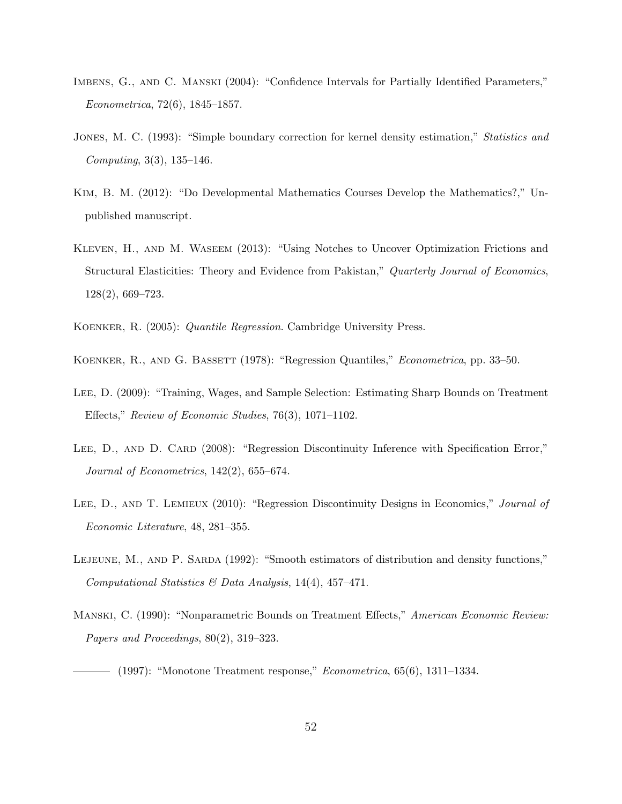- Imbens, G., and C. Manski (2004): "Confidence Intervals for Partially Identified Parameters," Econometrica, 72(6), 1845–1857.
- JONES, M. C. (1993): "Simple boundary correction for kernel density estimation," *Statistics and* Computing, 3(3), 135–146.
- Kim, B. M. (2012): "Do Developmental Mathematics Courses Develop the Mathematics?," Unpublished manuscript.
- Kleven, H., and M. Waseem (2013): "Using Notches to Uncover Optimization Frictions and Structural Elasticities: Theory and Evidence from Pakistan," Quarterly Journal of Economics, 128(2), 669–723.
- Koenker, R. (2005): Quantile Regression. Cambridge University Press.
- KOENKER, R., AND G. BASSETT (1978): "Regression Quantiles," *Econometrica*, pp. 33–50.
- Lee, D. (2009): "Training, Wages, and Sample Selection: Estimating Sharp Bounds on Treatment Effects," Review of Economic Studies, 76(3), 1071–1102.
- LEE, D., AND D. CARD (2008): "Regression Discontinuity Inference with Specification Error," Journal of Econometrics, 142(2), 655–674.
- LEE, D., AND T. LEMIEUX (2010): "Regression Discontinuity Designs in Economics," Journal of Economic Literature, 48, 281–355.
- LEJEUNE, M., AND P. SARDA (1992): "Smooth estimators of distribution and density functions," Computational Statistics & Data Analysis, 14(4), 457–471.
- Manski, C. (1990): "Nonparametric Bounds on Treatment Effects," American Economic Review: Papers and Proceedings, 80(2), 319–323.
- $-$  (1997): "Monotone Treatment response," *Econometrica*, 65(6), 1311–1334.